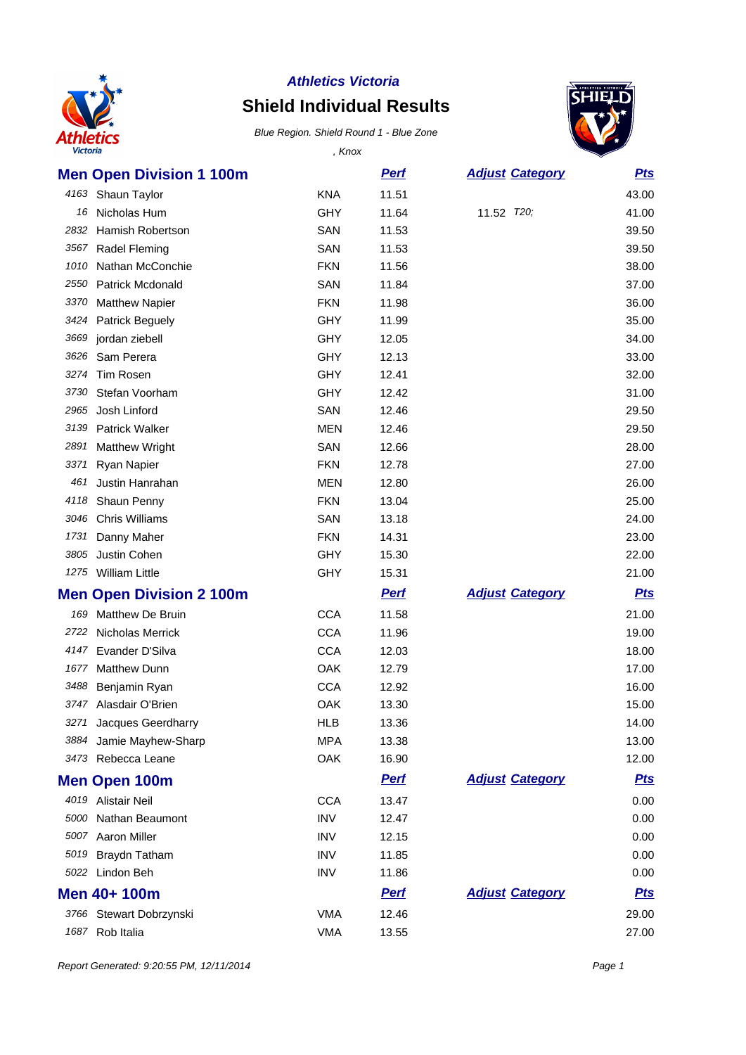

## **Shield Individual Results**



| <b>Victoria</b> |                                 | , Knox     |             |                        |            |
|-----------------|---------------------------------|------------|-------------|------------------------|------------|
|                 | <b>Men Open Division 1 100m</b> |            | <b>Perf</b> | <b>Adjust Category</b> | <u>Pts</u> |
|                 | 4163 Shaun Taylor               | <b>KNA</b> | 11.51       |                        | 43.00      |
| 16              | Nicholas Hum                    | <b>GHY</b> | 11.64       | 11.52 T20;             | 41.00      |
| 2832            | <b>Hamish Robertson</b>         | SAN        | 11.53       |                        | 39.50      |
| 3567            | Radel Fleming                   | SAN        | 11.53       |                        | 39.50      |
| 1010            | Nathan McConchie                | <b>FKN</b> | 11.56       |                        | 38.00      |
| 2550            | Patrick Mcdonald                | SAN        | 11.84       |                        | 37.00      |
| 3370            | <b>Matthew Napier</b>           | <b>FKN</b> | 11.98       |                        | 36.00      |
| 3424            | <b>Patrick Beguely</b>          | <b>GHY</b> | 11.99       |                        | 35.00      |
| 3669            | jordan ziebell                  | <b>GHY</b> | 12.05       |                        | 34.00      |
| 3626            | Sam Perera                      | <b>GHY</b> | 12.13       |                        | 33.00      |
| 3274            | Tim Rosen                       | <b>GHY</b> | 12.41       |                        | 32.00      |
| 3730            | Stefan Voorham                  | GHY        | 12.42       |                        | 31.00      |
| 2965            | Josh Linford                    | SAN        | 12.46       |                        | 29.50      |
| 3139            | <b>Patrick Walker</b>           | <b>MEN</b> | 12.46       |                        | 29.50      |
| 2891            | <b>Matthew Wright</b>           | SAN        | 12.66       |                        | 28.00      |
| 3371            | Ryan Napier                     | <b>FKN</b> | 12.78       |                        | 27.00      |
| 461             | Justin Hanrahan                 | <b>MEN</b> | 12.80       |                        | 26.00      |
| 4118            | Shaun Penny                     | <b>FKN</b> | 13.04       |                        | 25.00      |
| 3046            | <b>Chris Williams</b>           | SAN        | 13.18       |                        | 24.00      |
| 1731            | Danny Maher                     | <b>FKN</b> | 14.31       |                        | 23.00      |
| 3805            | Justin Cohen                    | <b>GHY</b> | 15.30       |                        | 22.00      |
|                 | 1275 William Little             | <b>GHY</b> | 15.31       |                        | 21.00      |
|                 | <b>Men Open Division 2 100m</b> |            | <b>Pert</b> | <b>Adjust Category</b> | <u>Pts</u> |
| 169             | <b>Matthew De Bruin</b>         | <b>CCA</b> | 11.58       |                        | 21.00      |
| 2722            | <b>Nicholas Merrick</b>         | <b>CCA</b> | 11.96       |                        | 19.00      |
| 4147            | Evander D'Silva                 | <b>CCA</b> | 12.03       |                        | 18.00      |
| 1677            | <b>Matthew Dunn</b>             | OAK        | 12.79       |                        | 17.00      |
| 3488            | Benjamin Ryan                   | <b>CCA</b> | 12.92       |                        | 16.00      |
|                 | 3747 Alasdair O'Brien           | OAK        | 13.30       |                        | 15.00      |
|                 | 3271 Jacques Geerdharry         | <b>HLB</b> | 13.36       |                        | 14.00      |
| 3884            | Jamie Mayhew-Sharp              | <b>MPA</b> | 13.38       |                        | 13.00      |
|                 | 3473 Rebecca Leane              | OAK        | 16.90       |                        | 12.00      |
|                 | <b>Men Open 100m</b>            |            | <b>Perf</b> | <b>Adjust Category</b> | <b>Pts</b> |
|                 | 4019 Alistair Neil              | <b>CCA</b> | 13.47       |                        | 0.00       |
|                 | 5000 Nathan Beaumont            | <b>INV</b> | 12.47       |                        | 0.00       |
|                 | 5007 Aaron Miller               | <b>INV</b> | 12.15       |                        | 0.00       |
| 5019            | Braydn Tatham                   | <b>INV</b> | 11.85       |                        | 0.00       |
|                 | 5022 Lindon Beh                 | <b>INV</b> | 11.86       |                        | 0.00       |
|                 | Men 40+ 100m                    |            | <b>Pert</b> | <b>Adjust Category</b> | <u>Pts</u> |
|                 | 3766 Stewart Dobrzynski         | <b>VMA</b> | 12.46       |                        | 29.00      |
|                 | 1687 Rob Italia                 | <b>VMA</b> | 13.55       |                        | 27.00      |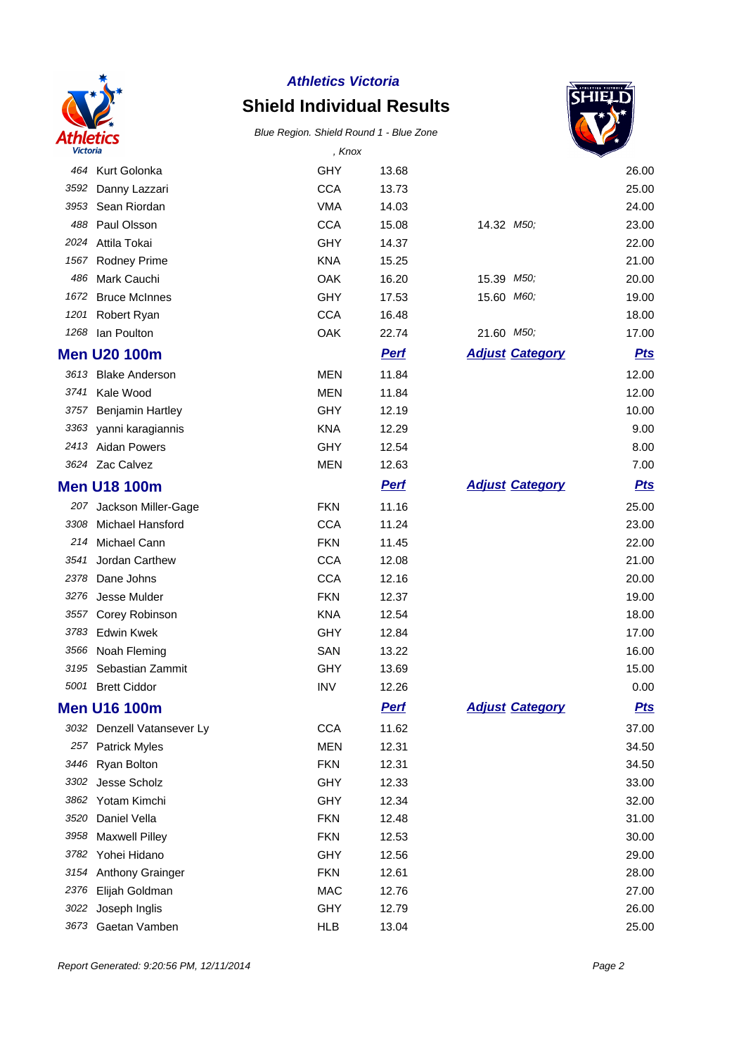

## **Shield Individual Results**



| <b>Victoria</b> |                            | , Knox     |             |                         |            |
|-----------------|----------------------------|------------|-------------|-------------------------|------------|
|                 | 464 Kurt Golonka           | <b>GHY</b> | 13.68       |                         | 26.00      |
| 3592            | Danny Lazzari              | <b>CCA</b> | 13.73       |                         | 25.00      |
| 3953            | Sean Riordan               | <b>VMA</b> | 14.03       |                         | 24.00      |
| 488             | Paul Olsson                | <b>CCA</b> | 15.08       | 14.32 M <sub>50</sub> ; | 23.00      |
| 2024            | Attila Tokai               | GHY        | 14.37       |                         | 22.00      |
| 1567            | Rodney Prime               | <b>KNA</b> | 15.25       |                         | 21.00      |
| 486             | Mark Cauchi                | OAK        | 16.20       | 15.39 M50;              | 20.00      |
| 1672            | <b>Bruce McInnes</b>       | <b>GHY</b> | 17.53       | 15.60 M60;              | 19.00      |
| 1201            | Robert Ryan                | <b>CCA</b> | 16.48       |                         | 18.00      |
| 1268            | lan Poulton                | OAK        | 22.74       | 21.60 M50;              | 17.00      |
|                 | <b>Men U20 100m</b>        |            | <b>Pert</b> | <b>Adjust Category</b>  | <u>Pts</u> |
| 3613            | <b>Blake Anderson</b>      | <b>MEN</b> | 11.84       |                         | 12.00      |
| 3741            | Kale Wood                  | <b>MEN</b> | 11.84       |                         | 12.00      |
| 3757            | <b>Benjamin Hartley</b>    | <b>GHY</b> | 12.19       |                         | 10.00      |
| 3363            | yanni karagiannis          | <b>KNA</b> | 12.29       |                         | 9.00       |
| 2413            | <b>Aidan Powers</b>        | <b>GHY</b> | 12.54       |                         | 8.00       |
|                 | 3624 Zac Calvez            | <b>MEN</b> | 12.63       |                         | 7.00       |
|                 | <b>Men U18 100m</b>        |            | <b>Perf</b> | <b>Adjust Category</b>  | <b>Pts</b> |
| 207             | Jackson Miller-Gage        | <b>FKN</b> | 11.16       |                         | 25.00      |
| 3308            | Michael Hansford           | <b>CCA</b> | 11.24       |                         | 23.00      |
| 214             | Michael Cann               | <b>FKN</b> | 11.45       |                         | 22.00      |
| 3541            | Jordan Carthew             | <b>CCA</b> | 12.08       |                         | 21.00      |
| 2378            | Dane Johns                 | <b>CCA</b> | 12.16       |                         | 20.00      |
| 3276            | Jesse Mulder               | <b>FKN</b> | 12.37       |                         | 19.00      |
| 3557            | Corey Robinson             | <b>KNA</b> | 12.54       |                         | 18.00      |
| 3783            | <b>Edwin Kwek</b>          | <b>GHY</b> | 12.84       |                         | 17.00      |
| 3566            | Noah Fleming               | SAN        | 13.22       |                         | 16.00      |
| 3195            | Sebastian Zammit           | <b>GHY</b> | 13.69       |                         | 15.00      |
|                 | 5001 Brett Ciddor          | <b>INV</b> | 12.26       |                         | 0.00       |
|                 | <b>Men U16 100m</b>        |            | <b>Pert</b> | <b>Adjust Category</b>  | <u>Pts</u> |
|                 | 3032 Denzell Vatansever Ly | <b>CCA</b> | 11.62       |                         | 37.00      |
| 257             | <b>Patrick Myles</b>       | <b>MEN</b> | 12.31       |                         | 34.50      |
| 3446            | Ryan Bolton                | <b>FKN</b> | 12.31       |                         | 34.50      |
| 3302            | Jesse Scholz               | <b>GHY</b> | 12.33       |                         | 33.00      |
| 3862            | Yotam Kimchi               | <b>GHY</b> | 12.34       |                         | 32.00      |
| 3520            | Daniel Vella               | <b>FKN</b> | 12.48       |                         | 31.00      |
| 3958            | <b>Maxwell Pilley</b>      | <b>FKN</b> | 12.53       |                         | 30.00      |
| 3782            | Yohei Hidano               | GHY        | 12.56       |                         | 29.00      |
| 3154            | Anthony Grainger           | <b>FKN</b> | 12.61       |                         | 28.00      |
| 2376            | Elijah Goldman             | <b>MAC</b> | 12.76       |                         | 27.00      |
| 3022            | Joseph Inglis              | <b>GHY</b> | 12.79       |                         | 26.00      |
| 3673            | Gaetan Vamben              | <b>HLB</b> | 13.04       |                         | 25.00      |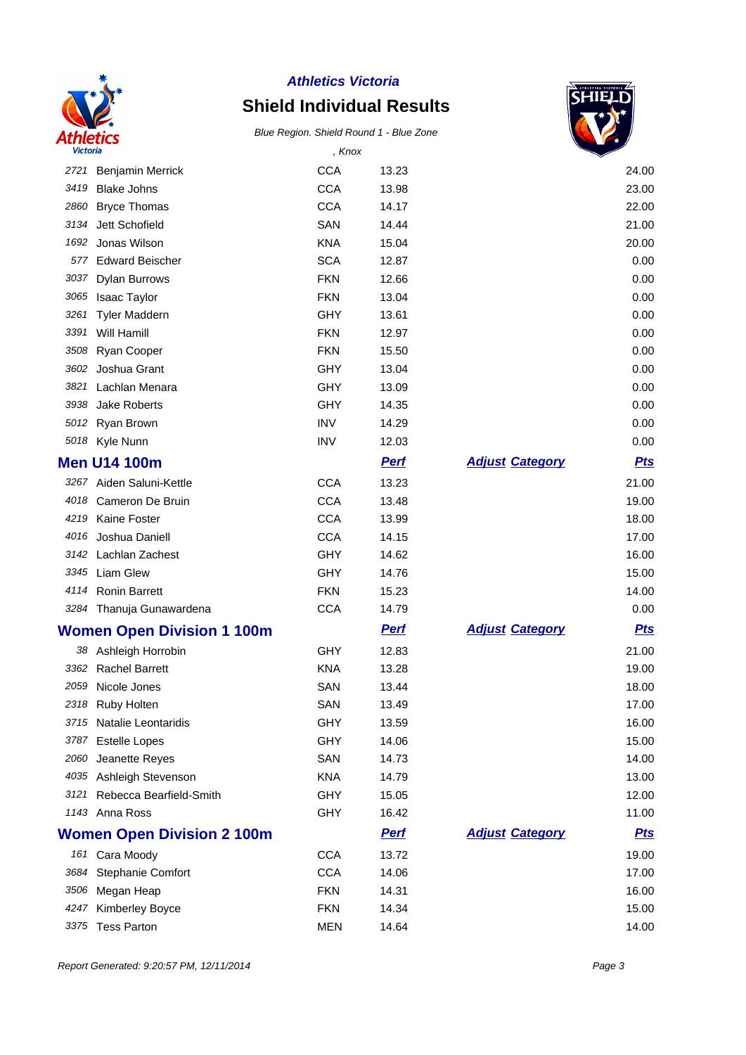

# **Shield Individual Results**



| <b>Victoria</b> |                                   | , Knox     |             |                        |            |
|-----------------|-----------------------------------|------------|-------------|------------------------|------------|
|                 | 2721 Benjamin Merrick             | <b>CCA</b> | 13.23       |                        | 24.00      |
| 3419            | <b>Blake Johns</b>                | <b>CCA</b> | 13.98       |                        | 23.00      |
| 2860            | <b>Bryce Thomas</b>               | <b>CCA</b> | 14.17       |                        | 22.00      |
| 3134            | Jett Schofield                    | SAN        | 14.44       |                        | 21.00      |
| 1692            | Jonas Wilson                      | <b>KNA</b> | 15.04       |                        | 20.00      |
| 577             | <b>Edward Beischer</b>            | <b>SCA</b> | 12.87       |                        | 0.00       |
| 3037            | <b>Dylan Burrows</b>              | <b>FKN</b> | 12.66       |                        | 0.00       |
| 3065            | Isaac Taylor                      | <b>FKN</b> | 13.04       |                        | 0.00       |
| 3261            | <b>Tyler Maddern</b>              | GHY        | 13.61       |                        | 0.00       |
| 3391            | Will Hamill                       | <b>FKN</b> | 12.97       |                        | 0.00       |
| 3508            | Ryan Cooper                       | <b>FKN</b> | 15.50       |                        | 0.00       |
| 3602            | Joshua Grant                      | <b>GHY</b> | 13.04       |                        | 0.00       |
| 3821            | Lachlan Menara                    | GHY        | 13.09       |                        | 0.00       |
| 3938            | Jake Roberts                      | <b>GHY</b> | 14.35       |                        | 0.00       |
|                 | 5012 Ryan Brown                   | <b>INV</b> | 14.29       |                        | 0.00       |
|                 | 5018 Kyle Nunn                    | <b>INV</b> | 12.03       |                        | 0.00       |
|                 | <b>Men U14 100m</b>               |            | <b>Perf</b> | <b>Adjust Category</b> | <u>Pts</u> |
|                 | 3267 Aiden Saluni-Kettle          | <b>CCA</b> | 13.23       |                        | 21.00      |
|                 | 4018 Cameron De Bruin             | <b>CCA</b> | 13.48       |                        | 19.00      |
|                 | 4219 Kaine Foster                 | <b>CCA</b> | 13.99       |                        | 18.00      |
|                 | 4016 Joshua Daniell               | <b>CCA</b> | 14.15       |                        | 17.00      |
|                 | 3142 Lachlan Zachest              | <b>GHY</b> | 14.62       |                        | 16.00      |
|                 | 3345 Liam Glew                    | GHY        | 14.76       |                        | 15.00      |
| 4114            | <b>Ronin Barrett</b>              | <b>FKN</b> | 15.23       |                        | 14.00      |
|                 | 3284 Thanuja Gunawardena          | <b>CCA</b> | 14.79       |                        | 0.00       |
|                 | <b>Women Open Division 1 100m</b> |            | <b>Perf</b> | <b>Adjust Category</b> | <b>Pts</b> |
|                 | 38 Ashleigh Horrobin              | GHY        | 12.83       |                        | 21.00      |
| 3362            | <b>Rachel Barrett</b>             | <b>KNA</b> | 13.28       |                        | 19.00      |
|                 | 2059 Nicole Jones                 | SAN        | 13.44       |                        | 18.00      |
|                 | 2318 Ruby Holten                  | SAN        | 13.49       |                        | 17.00      |
|                 | 3715 Natalie Leontaridis          | GHY        | 13.59       |                        | 16.00      |
|                 | 3787 Estelle Lopes                | GHY        | 14.06       |                        | 15.00      |
| 2060            | Jeanette Reyes                    | SAN        | 14.73       |                        | 14.00      |
|                 | 4035 Ashleigh Stevenson           | <b>KNA</b> | 14.79       |                        | 13.00      |
| 3121            | Rebecca Bearfield-Smith           | <b>GHY</b> | 15.05       |                        | 12.00      |
|                 | 1143 Anna Ross                    | <b>GHY</b> | 16.42       |                        | 11.00      |
|                 | <b>Women Open Division 2 100m</b> |            | <b>Perf</b> | <b>Adjust Category</b> | <u>Pts</u> |
|                 | 161 Cara Moody                    | <b>CCA</b> | 13.72       |                        | 19.00      |
| 3684            | <b>Stephanie Comfort</b>          | <b>CCA</b> | 14.06       |                        | 17.00      |
| 3506            | Megan Heap                        | <b>FKN</b> | 14.31       |                        | 16.00      |
| 4247            | <b>Kimberley Boyce</b>            | <b>FKN</b> | 14.34       |                        | 15.00      |
|                 | 3375 Tess Parton                  | <b>MEN</b> | 14.64       |                        | 14.00      |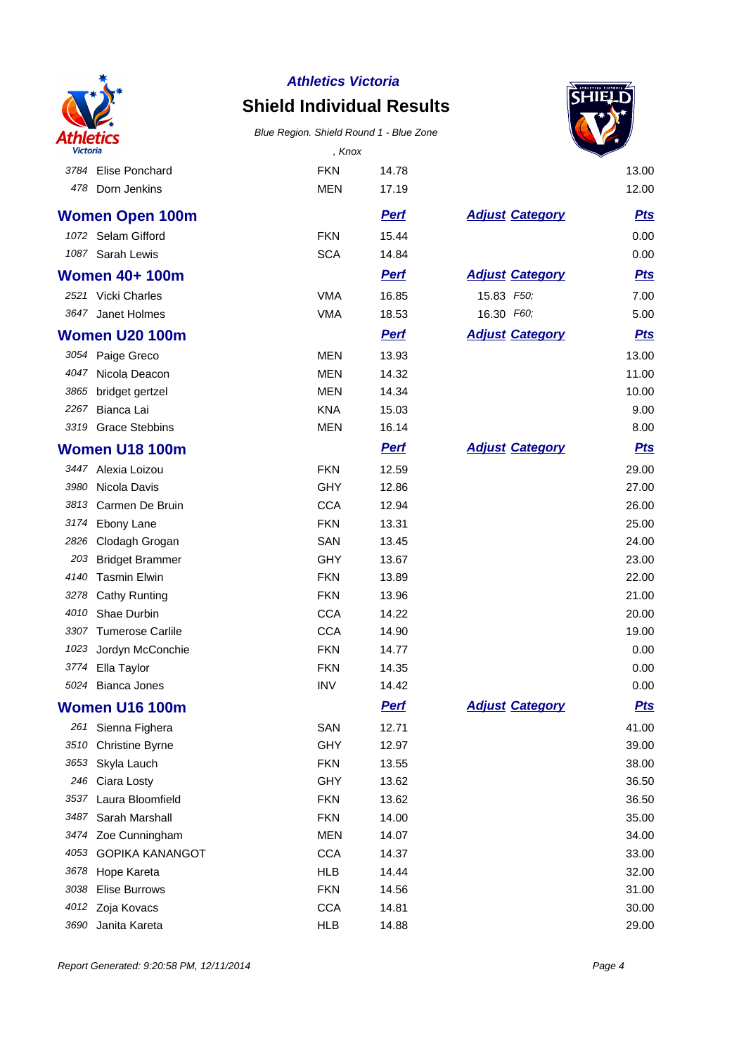

## **Shield Individual Results**



| <b>Victoria</b> |                        | , Knox     |             |                        |            |
|-----------------|------------------------|------------|-------------|------------------------|------------|
|                 | 3784 Elise Ponchard    | <b>FKN</b> | 14.78       |                        | 13.00      |
| 478             | Dorn Jenkins           | <b>MEN</b> | 17.19       |                        | 12.00      |
|                 | <b>Women Open 100m</b> |            | <b>Perf</b> | <b>Adjust Category</b> | <u>Pts</u> |
|                 | 1072 Selam Gifford     | <b>FKN</b> | 15.44       |                        | 0.00       |
|                 | 1087 Sarah Lewis       | <b>SCA</b> | 14.84       |                        | 0.00       |
|                 | <b>Women 40+ 100m</b>  |            | <b>Pert</b> | <b>Adjust Category</b> | <b>Pts</b> |
|                 | 2521 Vicki Charles     | <b>VMA</b> | 16.85       | 15.83 F50;             | 7.00       |
|                 | 3647 Janet Holmes      | <b>VMA</b> | 18.53       | 16.30 F60;             | 5.00       |
|                 | <b>Women U20 100m</b>  |            | <b>Pert</b> | <b>Adjust Category</b> | <b>Pts</b> |
|                 | 3054 Paige Greco       | <b>MEN</b> | 13.93       |                        | 13.00      |
|                 | 4047 Nicola Deacon     | <b>MEN</b> | 14.32       |                        | 11.00      |
| 3865            | bridget gertzel        | <b>MEN</b> | 14.34       |                        | 10.00      |
| 2267            | Bianca Lai             | <b>KNA</b> | 15.03       |                        | 9.00       |
| 3319            | <b>Grace Stebbins</b>  | <b>MEN</b> | 16.14       |                        | 8.00       |
|                 | <b>Women U18 100m</b>  |            | <b>Perf</b> | <b>Adjust Category</b> | <b>Pts</b> |
|                 | 3447 Alexia Loizou     | <b>FKN</b> | 12.59       |                        | 29.00      |
| 3980            | Nicola Davis           | <b>GHY</b> | 12.86       |                        | 27.00      |
| 3813            | Carmen De Bruin        | <b>CCA</b> | 12.94       |                        | 26.00      |
|                 | 3174 Ebony Lane        | <b>FKN</b> | 13.31       |                        | 25.00      |
| 2826            | Clodagh Grogan         | SAN        | 13.45       |                        | 24.00      |
|                 | 203 Bridget Brammer    | <b>GHY</b> | 13.67       |                        | 23.00      |
| 4140            | <b>Tasmin Elwin</b>    | <b>FKN</b> | 13.89       |                        | 22.00      |
| 3278            | <b>Cathy Runting</b>   | <b>FKN</b> | 13.96       |                        | 21.00      |
| 4010            | Shae Durbin            | <b>CCA</b> | 14.22       |                        | 20.00      |
|                 | 3307 Tumerose Carlile  | <b>CCA</b> | 14.90       |                        | 19.00      |
| 1023            | Jordyn McConchie       | <b>FKN</b> | 14.77       |                        | 0.00       |
| 3774            | Ella Taylor            | <b>FKN</b> | 14.35       |                        | 0.00       |
| 5024            | <b>Bianca Jones</b>    | <b>INV</b> | 14.42       |                        | 0.00       |
|                 | <b>Women U16 100m</b>  |            | <b>Pert</b> | <b>Adjust Category</b> | <u>Pts</u> |
| 261             | Sienna Fighera         | SAN        | 12.71       |                        | 41.00      |
| 3510            | <b>Christine Byrne</b> | <b>GHY</b> | 12.97       |                        | 39.00      |
| 3653            | Skyla Lauch            | <b>FKN</b> | 13.55       |                        | 38.00      |
| 246             | Ciara Losty            | <b>GHY</b> | 13.62       |                        | 36.50      |
| 3537            | Laura Bloomfield       | <b>FKN</b> | 13.62       |                        | 36.50      |
| 3487            | Sarah Marshall         | <b>FKN</b> | 14.00       |                        | 35.00      |
| 3474            | Zoe Cunningham         | <b>MEN</b> | 14.07       |                        | 34.00      |
| 4053            | <b>GOPIKA KANANGOT</b> | <b>CCA</b> | 14.37       |                        | 33.00      |
| 3678            | Hope Kareta            | <b>HLB</b> | 14.44       |                        | 32.00      |
| 3038            | <b>Elise Burrows</b>   | <b>FKN</b> | 14.56       |                        | 31.00      |
| 4012            | Zoja Kovacs            | <b>CCA</b> | 14.81       |                        | 30.00      |
|                 | 3690 Janita Kareta     | <b>HLB</b> | 14.88       |                        | 29.00      |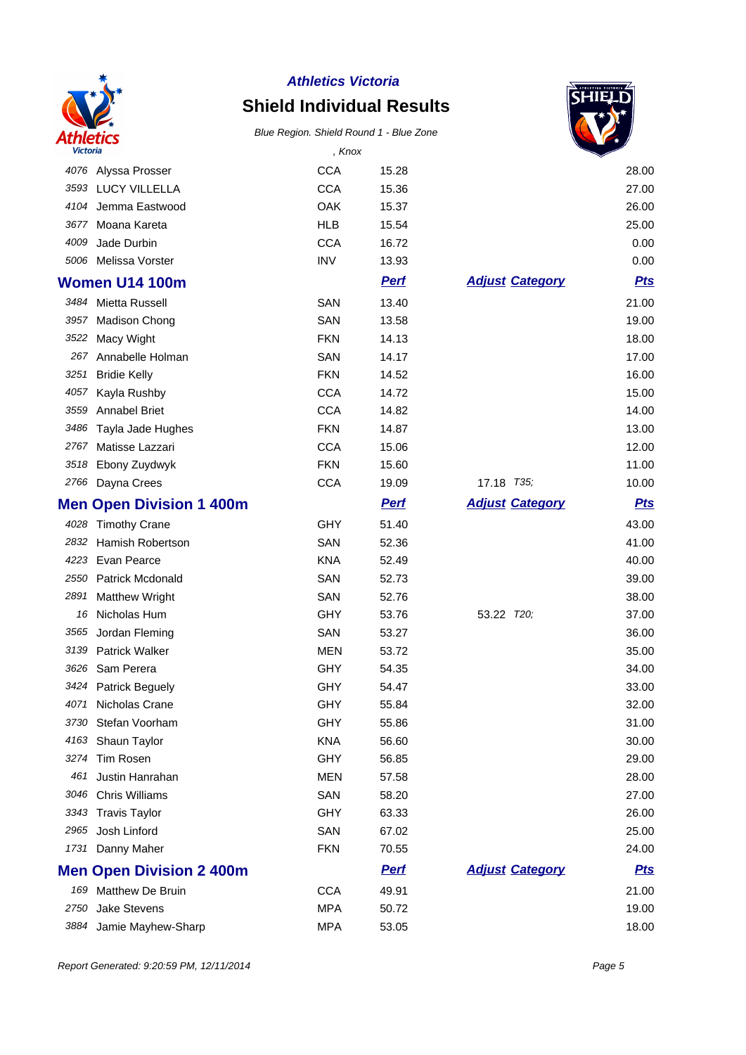

# **Shield Individual Results**



| <b>Victoria</b> |                                 | , Knox     |             |                        |            |
|-----------------|---------------------------------|------------|-------------|------------------------|------------|
|                 | 4076 Alyssa Prosser             | <b>CCA</b> | 15.28       |                        | 28.00      |
|                 | 3593 LUCY VILLELLA              | <b>CCA</b> | 15.36       |                        | 27.00      |
| 4104            | Jemma Eastwood                  | OAK        | 15.37       |                        | 26.00      |
| 3677            | Moana Kareta                    | <b>HLB</b> | 15.54       |                        | 25.00      |
| 4009            | Jade Durbin                     | <b>CCA</b> | 16.72       |                        | 0.00       |
|                 | 5006 Melissa Vorster            | <b>INV</b> | 13.93       |                        | 0.00       |
|                 | <b>Women U14 100m</b>           |            | <b>Perf</b> | <b>Adjust Category</b> | <b>Pts</b> |
|                 | 3484 Mietta Russell             | SAN        | 13.40       |                        | 21.00      |
| 3957            | <b>Madison Chong</b>            | SAN        | 13.58       |                        | 19.00      |
| 3522            | Macy Wight                      | <b>FKN</b> | 14.13       |                        | 18.00      |
| 267             | Annabelle Holman                | SAN        | 14.17       |                        | 17.00      |
| 3251            | <b>Bridie Kelly</b>             | <b>FKN</b> | 14.52       |                        | 16.00      |
| 4057            | Kayla Rushby                    | <b>CCA</b> | 14.72       |                        | 15.00      |
| 3559            | <b>Annabel Briet</b>            | <b>CCA</b> | 14.82       |                        | 14.00      |
| 3486            | Tayla Jade Hughes               | <b>FKN</b> | 14.87       |                        | 13.00      |
| 2767            | Matisse Lazzari                 | <b>CCA</b> | 15.06       |                        | 12.00      |
| 3518            | Ebony Zuydwyk                   | <b>FKN</b> | 15.60       |                        | 11.00      |
| 2766            | Dayna Crees                     | <b>CCA</b> | 19.09       | 17.18 T35;             | 10.00      |
|                 | <b>Men Open Division 1 400m</b> |            | <b>Pert</b> | <b>Adjust Category</b> | <b>Pts</b> |
|                 | 4028 Timothy Crane              | <b>GHY</b> | 51.40       |                        | 43.00      |
| 2832            | Hamish Robertson                | SAN        | 52.36       |                        | 41.00      |
| 4223            | Evan Pearce                     | <b>KNA</b> | 52.49       |                        | 40.00      |
| 2550            | Patrick Mcdonald                | SAN        | 52.73       |                        | 39.00      |
| 2891            | <b>Matthew Wright</b>           | SAN        | 52.76       |                        | 38.00      |
| 16              | Nicholas Hum                    | <b>GHY</b> | 53.76       | 53.22 T20;             | 37.00      |
| 3565            | Jordan Fleming                  | SAN        | 53.27       |                        | 36.00      |
| 3139            | <b>Patrick Walker</b>           | <b>MEN</b> | 53.72       |                        | 35.00      |
| 3626            | Sam Perera                      | <b>GHY</b> | 54.35       |                        | 34.00      |
| 3424            | <b>Patrick Beguely</b>          | GHY        | 54.47       |                        | 33.00      |
| 4071            | Nicholas Crane                  | <b>GHY</b> | 55.84       |                        | 32.00      |
| 3730            | Stefan Voorham                  | <b>GHY</b> | 55.86       |                        | 31.00      |
| 4163            | Shaun Taylor                    | <b>KNA</b> | 56.60       |                        | 30.00      |
| 3274            | Tim Rosen                       | <b>GHY</b> | 56.85       |                        | 29.00      |
| 461             | Justin Hanrahan                 | <b>MEN</b> | 57.58       |                        | 28.00      |
| 3046            | <b>Chris Williams</b>           | SAN        | 58.20       |                        | 27.00      |
| 3343            | <b>Travis Taylor</b>            | <b>GHY</b> | 63.33       |                        | 26.00      |
| 2965            | Josh Linford                    | SAN        | 67.02       |                        | 25.00      |
| 1731            | Danny Maher                     | <b>FKN</b> | 70.55       |                        | 24.00      |
|                 | <b>Men Open Division 2 400m</b> |            | <b>Perf</b> | <b>Adjust Category</b> | <u>Pts</u> |
| 169             | <b>Matthew De Bruin</b>         | <b>CCA</b> | 49.91       |                        | 21.00      |
| 2750            | <b>Jake Stevens</b>             | <b>MPA</b> | 50.72       |                        | 19.00      |
| 3884            | Jamie Mayhew-Sharp              | <b>MPA</b> | 53.05       |                        | 18.00      |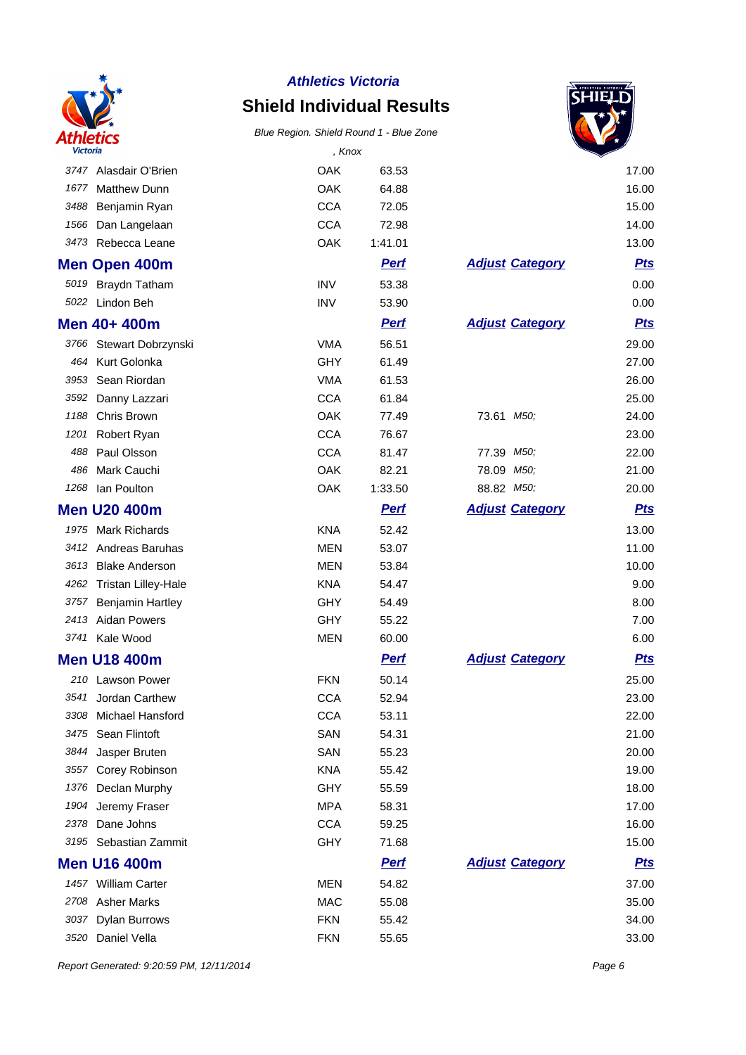

# **Shield Individual Results**

#### Blue Region. Shield Round 1 - Blue Zone



| Victoria |                            | , Knox     |             |                        |            |
|----------|----------------------------|------------|-------------|------------------------|------------|
| 3747     | Alasdair O'Brien           | OAK        | 63.53       |                        | 17.00      |
| 1677     | <b>Matthew Dunn</b>        | OAK        | 64.88       |                        | 16.00      |
| 3488     | Benjamin Ryan              | <b>CCA</b> | 72.05       |                        | 15.00      |
| 1566     | Dan Langelaan              | <b>CCA</b> | 72.98       |                        | 14.00      |
| 3473     | Rebecca Leane              | OAK        | 1:41.01     |                        | 13.00      |
|          | <b>Men Open 400m</b>       |            | <b>Perf</b> | <b>Adjust Category</b> | <b>Pts</b> |
| 5019     | <b>Braydn Tatham</b>       | <b>INV</b> | 53.38       |                        | 0.00       |
|          | 5022 Lindon Beh            | <b>INV</b> | 53.90       |                        | 0.00       |
|          | Men 40+ 400m               |            | <b>Perf</b> | <b>Adjust Category</b> | <b>Pts</b> |
|          | 3766 Stewart Dobrzynski    | <b>VMA</b> | 56.51       |                        | 29.00      |
|          | 464 Kurt Golonka           | GHY        | 61.49       |                        | 27.00      |
| 3953     | Sean Riordan               | <b>VMA</b> | 61.53       |                        | 26.00      |
| 3592     | Danny Lazzari              | <b>CCA</b> | 61.84       |                        | 25.00      |
| 1188     | Chris Brown                | OAK        | 77.49       | 73.61 M50;             | 24.00      |
| 1201     | Robert Ryan                | <b>CCA</b> | 76.67       |                        | 23.00      |
| 488      | Paul Olsson                | <b>CCA</b> | 81.47       | 77.39 M50;             | 22.00      |
| 486      | Mark Cauchi                | OAK        | 82.21       | 78.09 M50;             | 21.00      |
| 1268     | Ian Poulton                | OAK        | 1:33.50     | 88.82 M50;             | 20.00      |
|          | <b>Men U20 400m</b>        |            | <b>Pert</b> | <b>Adjust Category</b> | <b>Pts</b> |
|          | 1975 Mark Richards         | <b>KNA</b> | 52.42       |                        | 13.00      |
|          | 3412 Andreas Baruhas       | <b>MEN</b> | 53.07       |                        | 11.00      |
| 3613     | <b>Blake Anderson</b>      | <b>MEN</b> | 53.84       |                        | 10.00      |
| 4262     | <b>Tristan Lilley-Hale</b> | <b>KNA</b> | 54.47       |                        | 9.00       |
| 3757     | <b>Benjamin Hartley</b>    | <b>GHY</b> | 54.49       |                        | 8.00       |
|          | 2413 Aidan Powers          | <b>GHY</b> | 55.22       |                        | 7.00       |
|          | 3741 Kale Wood             | <b>MEN</b> | 60.00       |                        | 6.00       |
|          | <b>Men U18 400m</b>        |            | <b>Pert</b> | <b>Adjust Category</b> | <b>Pts</b> |
|          | 210 Lawson Power           | <b>FKN</b> | 50.14       |                        | 25.00      |
| 3541     | Jordan Carthew             | <b>CCA</b> | 52.94       |                        | 23.00      |
| 3308     | Michael Hansford           | <b>CCA</b> | 53.11       |                        | 22.00      |
| 3475     | Sean Flintoft              | SAN        | 54.31       |                        | 21.00      |
| 3844     | Jasper Bruten              | SAN        | 55.23       |                        | 20.00      |
| 3557     | Corey Robinson             | <b>KNA</b> | 55.42       |                        | 19.00      |
| 1376     | Declan Murphy              | GHY        | 55.59       |                        | 18.00      |
| 1904     | Jeremy Fraser              | <b>MPA</b> | 58.31       |                        | 17.00      |
| 2378     | Dane Johns                 | <b>CCA</b> | 59.25       |                        | 16.00      |
|          | 3195 Sebastian Zammit      | <b>GHY</b> | 71.68       |                        | 15.00      |
|          | <b>Men U16 400m</b>        |            | <u>Perf</u> | <b>Adjust Category</b> | <u>Pts</u> |
|          | 1457 William Carter        | <b>MEN</b> | 54.82       |                        | 37.00      |
|          | 2708 Asher Marks           | <b>MAC</b> | 55.08       |                        | 35.00      |
| 3037     | <b>Dylan Burrows</b>       | <b>FKN</b> | 55.42       |                        | 34.00      |
| 3520     | Daniel Vella               | <b>FKN</b> | 55.65       |                        | 33.00      |

Report Generated: 9:20:59 PM, 12/11/2014 **Page 6**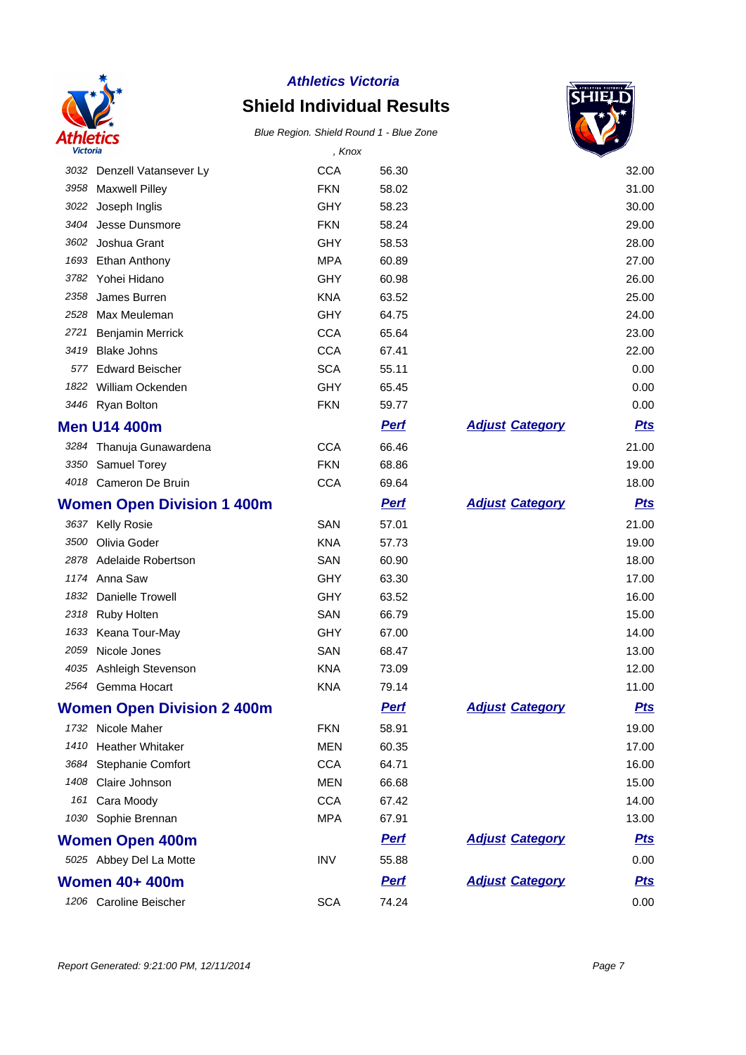

# **Shield Individual Results**



| <b>Victoria</b> |                                   | , Knox     |             |                        |            |
|-----------------|-----------------------------------|------------|-------------|------------------------|------------|
|                 | 3032 Denzell Vatansever Ly        | <b>CCA</b> | 56.30       |                        | 32.00      |
|                 | 3958 Maxwell Pilley               | <b>FKN</b> | 58.02       |                        | 31.00      |
|                 | 3022 Joseph Inglis                | <b>GHY</b> | 58.23       |                        | 30.00      |
| 3404            | Jesse Dunsmore                    | <b>FKN</b> | 58.24       |                        | 29.00      |
| 3602            | Joshua Grant                      | <b>GHY</b> | 58.53       |                        | 28.00      |
| 1693            | Ethan Anthony                     | <b>MPA</b> | 60.89       |                        | 27.00      |
| 3782            | Yohei Hidano                      | <b>GHY</b> | 60.98       |                        | 26.00      |
| 2358            | James Burren                      | <b>KNA</b> | 63.52       |                        | 25.00      |
| 2528            | Max Meuleman                      | <b>GHY</b> | 64.75       |                        | 24.00      |
| 2721            | Benjamin Merrick                  | <b>CCA</b> | 65.64       |                        | 23.00      |
| 3419            | <b>Blake Johns</b>                | <b>CCA</b> | 67.41       |                        | 22.00      |
| 577             | <b>Edward Beischer</b>            | <b>SCA</b> | 55.11       |                        | 0.00       |
|                 | 1822 William Ockenden             | GHY        | 65.45       |                        | 0.00       |
|                 | 3446 Ryan Bolton                  | <b>FKN</b> | 59.77       |                        | 0.00       |
|                 | <b>Men U14 400m</b>               |            | <b>Perf</b> | <b>Adjust Category</b> | <b>Pts</b> |
|                 | 3284 Thanuja Gunawardena          | <b>CCA</b> | 66.46       |                        | 21.00      |
|                 | 3350 Samuel Torey                 | <b>FKN</b> | 68.86       |                        | 19.00      |
|                 | 4018 Cameron De Bruin             | <b>CCA</b> | 69.64       |                        | 18.00      |
|                 | <b>Women Open Division 1 400m</b> |            | <b>Pert</b> | <b>Adjust Category</b> | <b>Pts</b> |
|                 | 3637 Kelly Rosie                  | SAN        | 57.01       |                        | 21.00      |
| 3500            | Olivia Goder                      | <b>KNA</b> | 57.73       |                        | 19.00      |
|                 | 2878 Adelaide Robertson           | SAN        | 60.90       |                        | 18.00      |
| 1174            | Anna Saw                          | <b>GHY</b> | 63.30       |                        | 17.00      |
| 1832            | Danielle Trowell                  | <b>GHY</b> | 63.52       |                        | 16.00      |
| 2318            | <b>Ruby Holten</b>                | SAN        | 66.79       |                        | 15.00      |
| 1633            | Keana Tour-May                    | <b>GHY</b> | 67.00       |                        | 14.00      |
| 2059            | Nicole Jones                      | SAN        | 68.47       |                        | 13.00      |
| 4035            | Ashleigh Stevenson                | <b>KNA</b> | 73.09       |                        | 12.00      |
| 2564            | Gemma Hocart                      | <b>KNA</b> | 79.14       |                        | 11.00      |
|                 | <b>Women Open Division 2 400m</b> |            | <u>Perf</u> | <b>Adjust Category</b> | <u>Pts</u> |
|                 | 1732 Nicole Maher                 | <b>FKN</b> | 58.91       |                        | 19.00      |
| 1410            | <b>Heather Whitaker</b>           | <b>MEN</b> | 60.35       |                        | 17.00      |
| 3684            | Stephanie Comfort                 | <b>CCA</b> | 64.71       |                        | 16.00      |
| 1408            | Claire Johnson                    | <b>MEN</b> | 66.68       |                        | 15.00      |
|                 | 161 Cara Moody                    | <b>CCA</b> | 67.42       |                        | 14.00      |
|                 | 1030 Sophie Brennan               | <b>MPA</b> | 67.91       |                        | 13.00      |
|                 | <b>Women Open 400m</b>            |            | <b>Pert</b> | <b>Adjust Category</b> | <u>Pts</u> |
|                 | 5025 Abbey Del La Motte           | <b>INV</b> | 55.88       |                        | 0.00       |
|                 | <b>Women 40+ 400m</b>             |            | <b>Pert</b> | <b>Adjust Category</b> | <u>Pts</u> |
|                 | 1206 Caroline Beischer            | <b>SCA</b> | 74.24       |                        | 0.00       |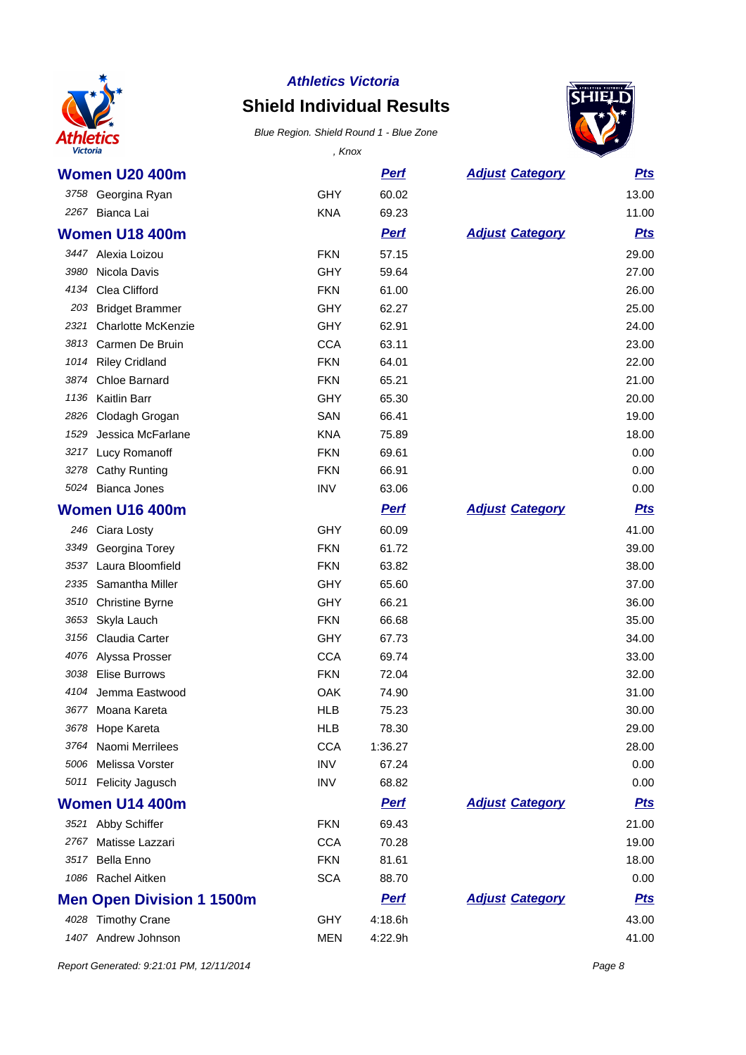

# **Shield Individual Results**

Blue Region. Shield Round 1 - Blue Zone



| <b>Victoria</b> |                                  | , Knox     |             |                        |            |
|-----------------|----------------------------------|------------|-------------|------------------------|------------|
|                 | <b>Women U20 400m</b>            |            | <b>Perf</b> | <b>Adjust Category</b> | <b>Pts</b> |
|                 | 3758 Georgina Ryan               | <b>GHY</b> | 60.02       |                        | 13.00      |
|                 | 2267 Bianca Lai                  | <b>KNA</b> | 69.23       |                        | 11.00      |
|                 | <b>Women U18 400m</b>            |            | <b>Perf</b> | <b>Adjust Category</b> | <b>Pts</b> |
|                 | 3447 Alexia Loizou               | <b>FKN</b> | 57.15       |                        | 29.00      |
| 3980            | Nicola Davis                     | <b>GHY</b> | 59.64       |                        | 27.00      |
| 4134            | Clea Clifford                    | <b>FKN</b> | 61.00       |                        | 26.00      |
| 203             | <b>Bridget Brammer</b>           | <b>GHY</b> | 62.27       |                        | 25.00      |
| 2321            | <b>Charlotte McKenzie</b>        | GHY        | 62.91       |                        | 24.00      |
| 3813            | Carmen De Bruin                  | <b>CCA</b> | 63.11       |                        | 23.00      |
| 1014            | <b>Riley Cridland</b>            | <b>FKN</b> | 64.01       |                        | 22.00      |
| 3874            | Chloe Barnard                    | <b>FKN</b> | 65.21       |                        | 21.00      |
| 1136            | Kaitlin Barr                     | GHY        | 65.30       |                        | 20.00      |
| 2826            | Clodagh Grogan                   | SAN        | 66.41       |                        | 19.00      |
| 1529            | Jessica McFarlane                | <b>KNA</b> | 75.89       |                        | 18.00      |
| 3217            | Lucy Romanoff                    | <b>FKN</b> | 69.61       |                        | 0.00       |
| 3278            | <b>Cathy Runting</b>             | <b>FKN</b> | 66.91       |                        | 0.00       |
| 5024            | <b>Bianca Jones</b>              | <b>INV</b> | 63.06       |                        | 0.00       |
|                 | <b>Women U16 400m</b>            |            | <b>Pert</b> | <b>Adjust Category</b> | <b>Pts</b> |
|                 | 246 Ciara Losty                  | <b>GHY</b> | 60.09       |                        | 41.00      |
| 3349            | Georgina Torey                   | <b>FKN</b> | 61.72       |                        | 39.00      |
| 3537            | Laura Bloomfield                 | <b>FKN</b> | 63.82       |                        | 38.00      |
| 2335            | Samantha Miller                  | <b>GHY</b> | 65.60       |                        | 37.00      |
| 3510            | <b>Christine Byrne</b>           | GHY        | 66.21       |                        | 36.00      |
| 3653            | Skyla Lauch                      | <b>FKN</b> | 66.68       |                        | 35.00      |
| 3156            | Claudia Carter                   | GHY        | 67.73       |                        | 34.00      |
| 4076            | Alyssa Prosser                   | <b>CCA</b> | 69.74       |                        | 33.00      |
| 3038            | <b>Elise Burrows</b>             | <b>FKN</b> | 72.04       |                        | 32.00      |
|                 | 4104 Jemma Eastwood              | OAK        | 74.90       |                        | 31.00      |
| 3677            | Moana Kareta                     | HLB        | 75.23       |                        | 30.00      |
| 3678            | Hope Kareta                      | <b>HLB</b> | 78.30       |                        | 29.00      |
| 3764            | Naomi Merrilees                  | <b>CCA</b> | 1:36.27     |                        | 28.00      |
| 5006            | Melissa Vorster                  | <b>INV</b> | 67.24       |                        | 0.00       |
|                 | 5011 Felicity Jagusch            | <b>INV</b> | 68.82       |                        | 0.00       |
|                 | Women U14 400m                   |            | <b>Pert</b> | <b>Adjust Category</b> | <u>Pts</u> |
|                 | 3521 Abby Schiffer               | <b>FKN</b> | 69.43       |                        | 21.00      |
| 2767            | Matisse Lazzari                  | <b>CCA</b> | 70.28       |                        | 19.00      |
| 3517            | <b>Bella Enno</b>                | <b>FKN</b> | 81.61       |                        | 18.00      |
|                 | 1086 Rachel Aitken               | <b>SCA</b> | 88.70       |                        | 0.00       |
|                 | <b>Men Open Division 1 1500m</b> |            | <b>Perf</b> | <b>Adjust Category</b> | <u>Pts</u> |
|                 | 4028 Timothy Crane               | <b>GHY</b> | 4:18.6h     |                        | 43.00      |
| 1407            | Andrew Johnson                   | <b>MEN</b> | 4:22.9h     |                        | 41.00      |

Report Generated: 9:21:01 PM, 12/11/2014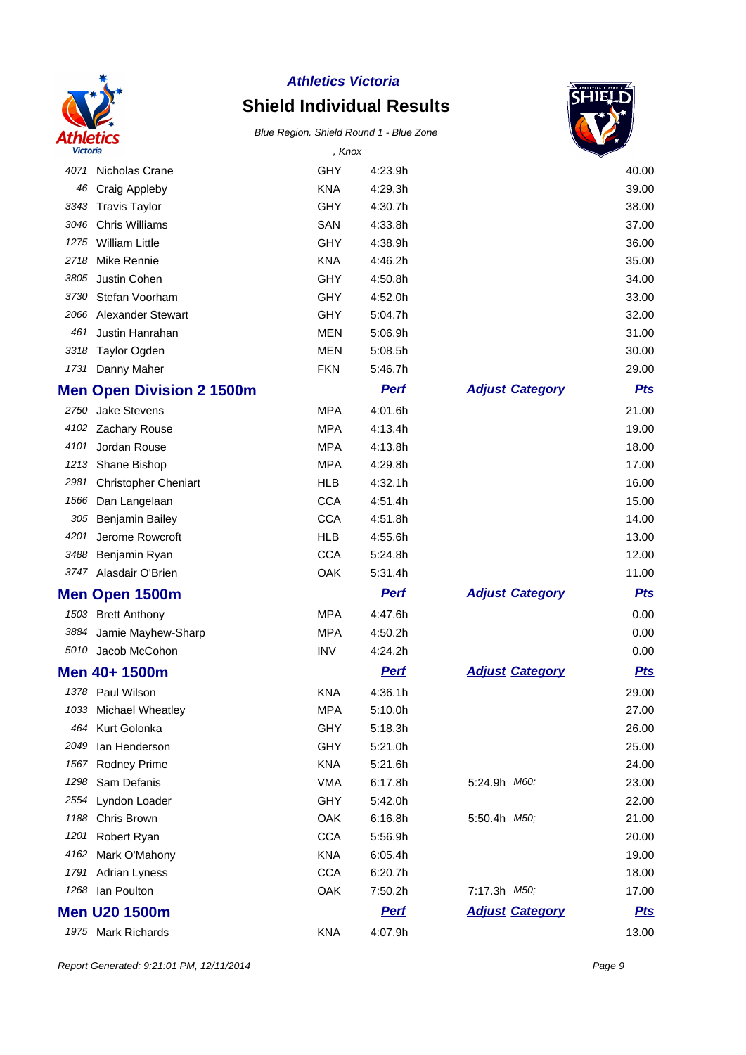

# **Shield Individual Results**



| <b>Victoria</b> |                                  | , Knox     |             |                        |            |
|-----------------|----------------------------------|------------|-------------|------------------------|------------|
| 4071            | Nicholas Crane                   | <b>GHY</b> | 4:23.9h     |                        | 40.00      |
| 46              | Craig Appleby                    | <b>KNA</b> | 4:29.3h     |                        | 39.00      |
| 3343            | <b>Travis Taylor</b>             | <b>GHY</b> | 4:30.7h     |                        | 38.00      |
| 3046            | <b>Chris Williams</b>            | SAN        | 4:33.8h     |                        | 37.00      |
| 1275            | <b>William Little</b>            | <b>GHY</b> | 4:38.9h     |                        | 36.00      |
| 2718            | Mike Rennie                      | <b>KNA</b> | 4:46.2h     |                        | 35.00      |
| 3805            | Justin Cohen                     | GHY        | 4:50.8h     |                        | 34.00      |
| 3730            | Stefan Voorham                   | GHY        | 4:52.0h     |                        | 33.00      |
| 2066            | <b>Alexander Stewart</b>         | <b>GHY</b> | 5:04.7h     |                        | 32.00      |
| 461             | Justin Hanrahan                  | <b>MEN</b> | 5:06.9h     |                        | 31.00      |
| 3318            | <b>Taylor Ogden</b>              | <b>MEN</b> | 5:08.5h     |                        | 30.00      |
| 1731            | Danny Maher                      | <b>FKN</b> | 5:46.7h     |                        | 29.00      |
|                 | <b>Men Open Division 2 1500m</b> |            | <b>Perf</b> | <b>Adjust Category</b> | <u>Pts</u> |
| 2750            | Jake Stevens                     | <b>MPA</b> | 4:01.6h     |                        | 21.00      |
| 4102            | Zachary Rouse                    | <b>MPA</b> | 4:13.4h     |                        | 19.00      |
| 4101            | Jordan Rouse                     | <b>MPA</b> | 4:13.8h     |                        | 18.00      |
| 1213            | Shane Bishop                     | <b>MPA</b> | 4:29.8h     |                        | 17.00      |
| 2981            | <b>Christopher Cheniart</b>      | <b>HLB</b> | 4:32.1h     |                        | 16.00      |
| 1566            | Dan Langelaan                    | <b>CCA</b> | 4:51.4h     |                        | 15.00      |
| 305             | <b>Benjamin Bailey</b>           | <b>CCA</b> | 4:51.8h     |                        | 14.00      |
| 4201            | Jerome Rowcroft                  | <b>HLB</b> | 4:55.6h     |                        | 13.00      |
| 3488            | Benjamin Ryan                    | <b>CCA</b> | 5:24.8h     |                        | 12.00      |
| 3747            | Alasdair O'Brien                 | OAK        | 5:31.4h     |                        | 11.00      |
|                 | Men Open 1500m                   |            | <b>Pert</b> | <b>Adjust Category</b> | <b>Pts</b> |
|                 | 1503 Brett Anthony               | <b>MPA</b> | 4:47.6h     |                        | 0.00       |
| 3884            | Jamie Mayhew-Sharp               | <b>MPA</b> | 4:50.2h     |                        | 0.00       |
|                 | 5010 Jacob McCohon               | <b>INV</b> | 4:24.2h     |                        | 0.00       |
|                 | Men 40+ 1500m                    |            | <b>Perf</b> | <b>Adjust Category</b> | <b>Pts</b> |
|                 | 1378 Paul Wilson                 | <b>KNA</b> | 4:36.1h     |                        | 29.00      |
| 1033            | Michael Wheatley                 | <b>MPA</b> | 5:10.0h     |                        | 27.00      |
| 464             | Kurt Golonka                     | <b>GHY</b> | 5:18.3h     |                        | 26.00      |
| 2049            | lan Henderson                    | <b>GHY</b> | 5:21.0h     |                        | 25.00      |
| 1567            | <b>Rodney Prime</b>              | <b>KNA</b> | 5:21.6h     |                        | 24.00      |
| 1298            | Sam Defanis                      | <b>VMA</b> | 6:17.8h     | 5:24.9h M60,           | 23.00      |
| 2554            | Lyndon Loader                    | <b>GHY</b> | 5:42.0h     |                        | 22.00      |
| 1188            | Chris Brown                      | OAK        | 6:16.8h     | 5:50.4h M50,           | 21.00      |
| 1201            | Robert Ryan                      | <b>CCA</b> | 5:56.9h     |                        | 20.00      |
| 4162            | Mark O'Mahony                    | <b>KNA</b> | 6:05.4h     |                        | 19.00      |
| 1791            | Adrian Lyness                    | <b>CCA</b> | 6:20.7h     |                        | 18.00      |
| 1268            | Ian Poulton                      | OAK        | 7:50.2h     | 7:17.3h M50;           | 17.00      |
|                 | <b>Men U20 1500m</b>             |            | <b>Perf</b> | <b>Adjust Category</b> | <u>Pts</u> |
|                 | 1975 Mark Richards               | <b>KNA</b> | 4:07.9h     |                        | 13.00      |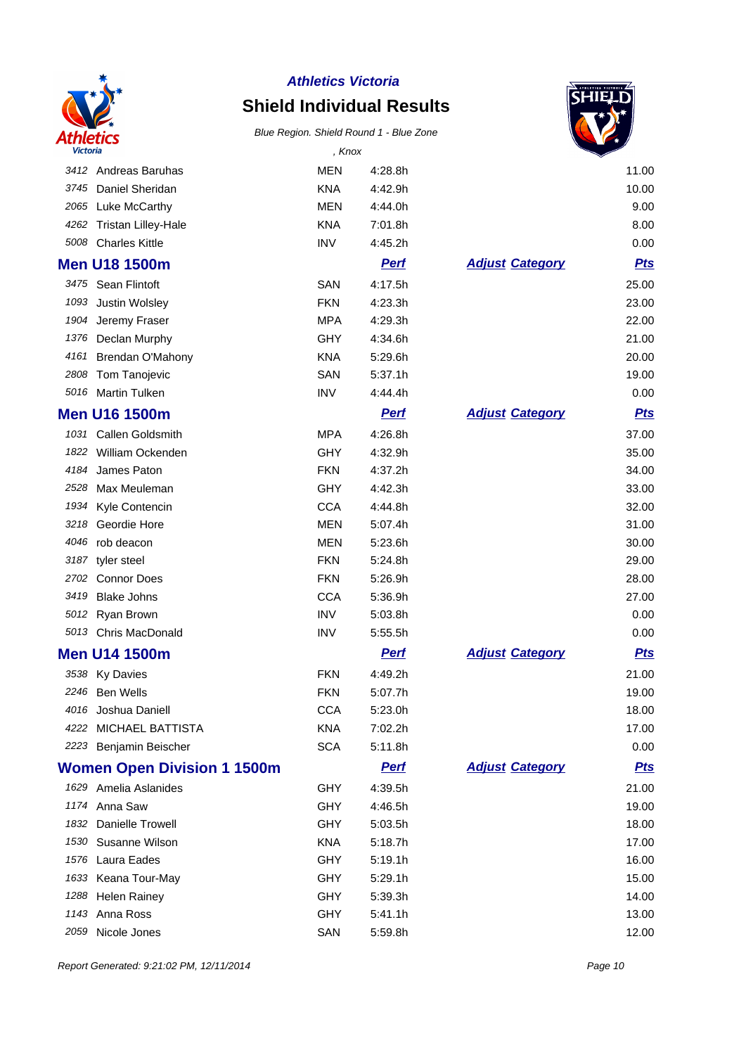

# **Shield Individual Results**



| Victoria |                                    | , Knox     |             |                        |            |
|----------|------------------------------------|------------|-------------|------------------------|------------|
|          | 3412 Andreas Baruhas               | <b>MEN</b> | 4:28.8h     |                        | 11.00      |
| 3745     | Daniel Sheridan                    | <b>KNA</b> | 4:42.9h     |                        | 10.00      |
| 2065     | Luke McCarthy                      | <b>MEN</b> | 4:44.0h     |                        | 9.00       |
| 4262     | <b>Tristan Lilley-Hale</b>         | <b>KNA</b> | 7:01.8h     |                        | 8.00       |
| 5008     | <b>Charles Kittle</b>              | <b>INV</b> | 4:45.2h     |                        | 0.00       |
|          | <b>Men U18 1500m</b>               |            | <b>Pert</b> | <b>Adjust Category</b> | <b>Pts</b> |
| 3475     | Sean Flintoft                      | SAN        | 4:17.5h     |                        | 25.00      |
| 1093     | Justin Wolsley                     | <b>FKN</b> | 4:23.3h     |                        | 23.00      |
| 1904     | Jeremy Fraser                      | <b>MPA</b> | 4:29.3h     |                        | 22.00      |
| 1376     | Declan Murphy                      | <b>GHY</b> | 4:34.6h     |                        | 21.00      |
| 4161     | Brendan O'Mahony                   | <b>KNA</b> | 5:29.6h     |                        | 20.00      |
| 2808     | Tom Tanojevic                      | SAN        | 5:37.1h     |                        | 19.00      |
| 5016     | <b>Martin Tulken</b>               | <b>INV</b> | 4:44.4h     |                        | 0.00       |
|          | <b>Men U16 1500m</b>               |            | <b>Pert</b> | <b>Adjust Category</b> | <b>Pts</b> |
| 1031     | Callen Goldsmith                   | <b>MPA</b> | 4:26.8h     |                        | 37.00      |
|          | 1822 William Ockenden              | <b>GHY</b> | 4:32.9h     |                        | 35.00      |
| 4184     | James Paton                        | <b>FKN</b> | 4:37.2h     |                        | 34.00      |
| 2528     | Max Meuleman                       | <b>GHY</b> | 4:42.3h     |                        | 33.00      |
| 1934     | Kyle Contencin                     | <b>CCA</b> | 4:44.8h     |                        | 32.00      |
| 3218     | Geordie Hore                       | <b>MEN</b> | 5:07.4h     |                        | 31.00      |
| 4046     | rob deacon                         | <b>MEN</b> | 5:23.6h     |                        | 30.00      |
| 3187     | tyler steel                        | <b>FKN</b> | 5:24.8h     |                        | 29.00      |
| 2702     | <b>Connor Does</b>                 | <b>FKN</b> | 5:26.9h     |                        | 28.00      |
| 3419     | <b>Blake Johns</b>                 | <b>CCA</b> | 5:36.9h     |                        | 27.00      |
|          | 5012 Ryan Brown                    | <b>INV</b> | 5:03.8h     |                        | 0.00       |
|          | 5013 Chris MacDonald               | <b>INV</b> | 5:55.5h     |                        | 0.00       |
|          | <b>Men U14 1500m</b>               |            | <b>Pert</b> | <b>Adjust Category</b> | <b>Pts</b> |
|          | 3538 Ky Davies                     | <b>FKN</b> | 4:49.2h     |                        | 21.00      |
|          | 2246 Ben Wells                     | <b>FKN</b> | 5:07.7h     |                        | 19.00      |
|          | 4016 Joshua Daniell                | <b>CCA</b> | 5:23.0h     |                        | 18.00      |
|          | 4222 MICHAEL BATTISTA              | <b>KNA</b> | 7:02.2h     |                        | 17.00      |
|          | 2223 Benjamin Beischer             | <b>SCA</b> | 5:11.8h     |                        | 0.00       |
|          | <b>Women Open Division 1 1500m</b> |            | <b>Perf</b> | <b>Adjust Category</b> | <u>Pts</u> |
|          | 1629 Amelia Aslanides              | <b>GHY</b> | 4:39.5h     |                        | 21.00      |
|          | 1174 Anna Saw                      | <b>GHY</b> | 4:46.5h     |                        | 19.00      |
|          | 1832 Danielle Trowell              | GHY        | 5:03.5h     |                        | 18.00      |
| 1530     | Susanne Wilson                     | <b>KNA</b> | 5:18.7h     |                        | 17.00      |
|          | 1576 Laura Eades                   | <b>GHY</b> | 5:19.1h     |                        | 16.00      |
|          | 1633 Keana Tour-May                | <b>GHY</b> | 5:29.1h     |                        | 15.00      |
| 1288     | <b>Helen Rainey</b>                | <b>GHY</b> | 5:39.3h     |                        | 14.00      |
|          | 1143 Anna Ross                     | GHY        | 5:41.1h     |                        | 13.00      |
| 2059     | Nicole Jones                       | SAN        | 5:59.8h     |                        | 12.00      |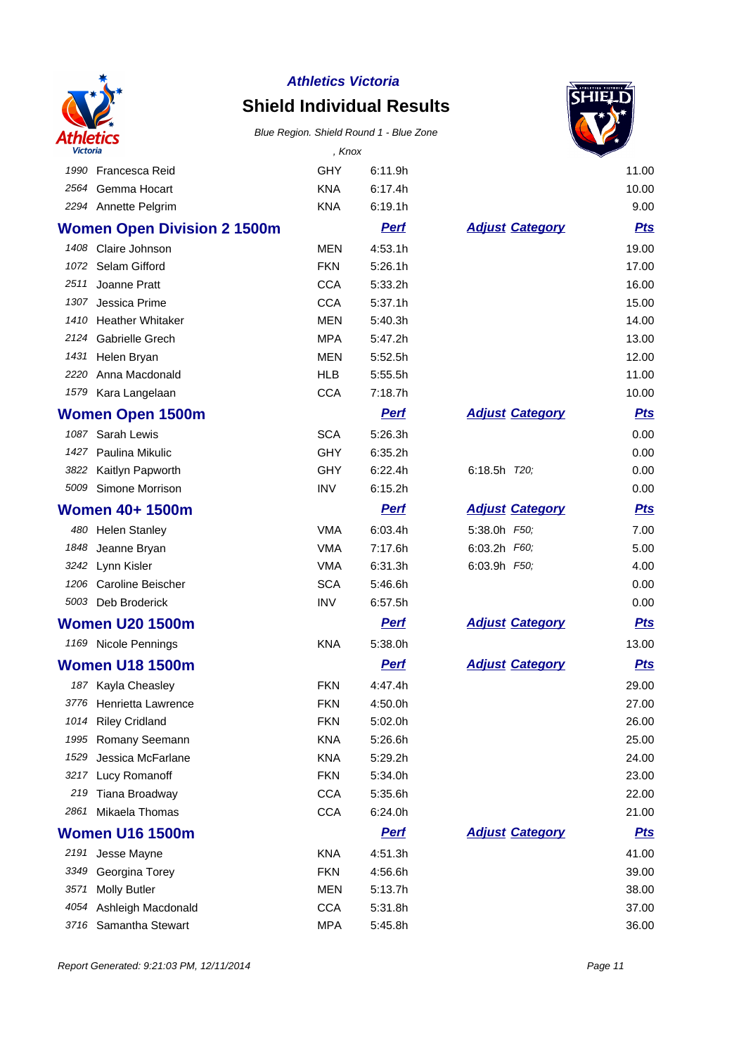

## **Shield Individual Results**



| Victoria |                                    | , Knox     |             |                        |            |
|----------|------------------------------------|------------|-------------|------------------------|------------|
|          | 1990 Francesca Reid                | GHY        | 6:11.9h     |                        | 11.00      |
| 2564     | Gemma Hocart                       | <b>KNA</b> | 6:17.4h     |                        | 10.00      |
|          | 2294 Annette Pelgrim               | <b>KNA</b> | 6:19.1h     |                        | 9.00       |
|          | <b>Women Open Division 2 1500m</b> |            | <b>Perf</b> | <b>Adjust Category</b> | <b>Pts</b> |
|          | 1408 Claire Johnson                | <b>MEN</b> | 4:53.1h     |                        | 19.00      |
|          | 1072 Selam Gifford                 | <b>FKN</b> | 5:26.1h     |                        | 17.00      |
| 2511     | Joanne Pratt                       | <b>CCA</b> | 5:33.2h     |                        | 16.00      |
| 1307     | Jessica Prime                      | <b>CCA</b> | 5:37.1h     |                        | 15.00      |
|          | 1410 Heather Whitaker              | <b>MEN</b> | 5:40.3h     |                        | 14.00      |
|          | 2124 Gabrielle Grech               | <b>MPA</b> | 5:47.2h     |                        | 13.00      |
|          | 1431 Helen Bryan                   | <b>MEN</b> | 5:52.5h     |                        | 12.00      |
| 2220     | Anna Macdonald                     | <b>HLB</b> | 5:55.5h     |                        | 11.00      |
|          | 1579 Kara Langelaan                | <b>CCA</b> | 7:18.7h     |                        | 10.00      |
|          | <b>Women Open 1500m</b>            |            | <b>Perf</b> | <b>Adjust Category</b> | <u>Pts</u> |
| 1087     | Sarah Lewis                        | <b>SCA</b> | 5:26.3h     |                        | 0.00       |
|          | 1427 Paulina Mikulic               | <b>GHY</b> | 6:35.2h     |                        | 0.00       |
|          | 3822 Kaitlyn Papworth              | <b>GHY</b> | 6:22.4h     | 6:18.5h T20,           | 0.00       |
| 5009     | Simone Morrison                    | <b>INV</b> | 6:15.2h     |                        | 0.00       |
|          | <b>Women 40+ 1500m</b>             |            | <b>Perf</b> | <b>Adjust Category</b> | <u>Pts</u> |
|          | 480 Helen Stanley                  | <b>VMA</b> | 6:03.4h     | 5:38.0h F50;           | 7.00       |
| 1848     | Jeanne Bryan                       | <b>VMA</b> | 7:17.6h     | 6:03.2h F60;           | 5.00       |
|          | 3242 Lynn Kisler                   | <b>VMA</b> | 6:31.3h     | 6:03.9h F50,           | 4.00       |
| 1206     | <b>Caroline Beischer</b>           | <b>SCA</b> | 5:46.6h     |                        | 0.00       |
|          | 5003 Deb Broderick                 | <b>INV</b> | 6:57.5h     |                        | 0.00       |
|          | <b>Women U20 1500m</b>             |            | <b>Perf</b> | <b>Adjust Category</b> | <b>Pts</b> |
|          | 1169 Nicole Pennings               | <b>KNA</b> | 5:38.0h     |                        | 13.00      |
|          | <b>Women U18 1500m</b>             |            | <b>Perf</b> | <b>Adjust Category</b> | <b>Pts</b> |
| 187      | Kayla Cheasley                     | <b>FKN</b> | 4:47.4h     |                        | 29.00      |
|          | 3776 Henrietta Lawrence            | <b>FKN</b> | 4:50.0h     |                        | 27.00      |
|          | 1014 Riley Cridland                | <b>FKN</b> | 5:02.0h     |                        | 26.00      |
| 1995     | Romany Seemann                     | <b>KNA</b> | 5:26.6h     |                        | 25.00      |
| 1529     | Jessica McFarlane                  | <b>KNA</b> | 5:29.2h     |                        | 24.00      |
| 3217     | Lucy Romanoff                      | <b>FKN</b> | 5:34.0h     |                        | 23.00      |
| 219      | Tiana Broadway                     | <b>CCA</b> | 5:35.6h     |                        | 22.00      |
| 2861     | Mikaela Thomas                     | <b>CCA</b> | 6:24.0h     |                        | 21.00      |
|          | <b>Women U16 1500m</b>             |            | <u>Perf</u> | <b>Adjust Category</b> | <u>Pts</u> |
|          | 2191 Jesse Mayne                   | <b>KNA</b> | 4:51.3h     |                        | 41.00      |
| 3349     | Georgina Torey                     | <b>FKN</b> | 4:56.6h     |                        | 39.00      |
| 3571     | <b>Molly Butler</b>                | <b>MEN</b> | 5:13.7h     |                        | 38.00      |
| 4054     | Ashleigh Macdonald                 | <b>CCA</b> | 5:31.8h     |                        | 37.00      |
|          | 3716 Samantha Stewart              | <b>MPA</b> | 5:45.8h     |                        | 36.00      |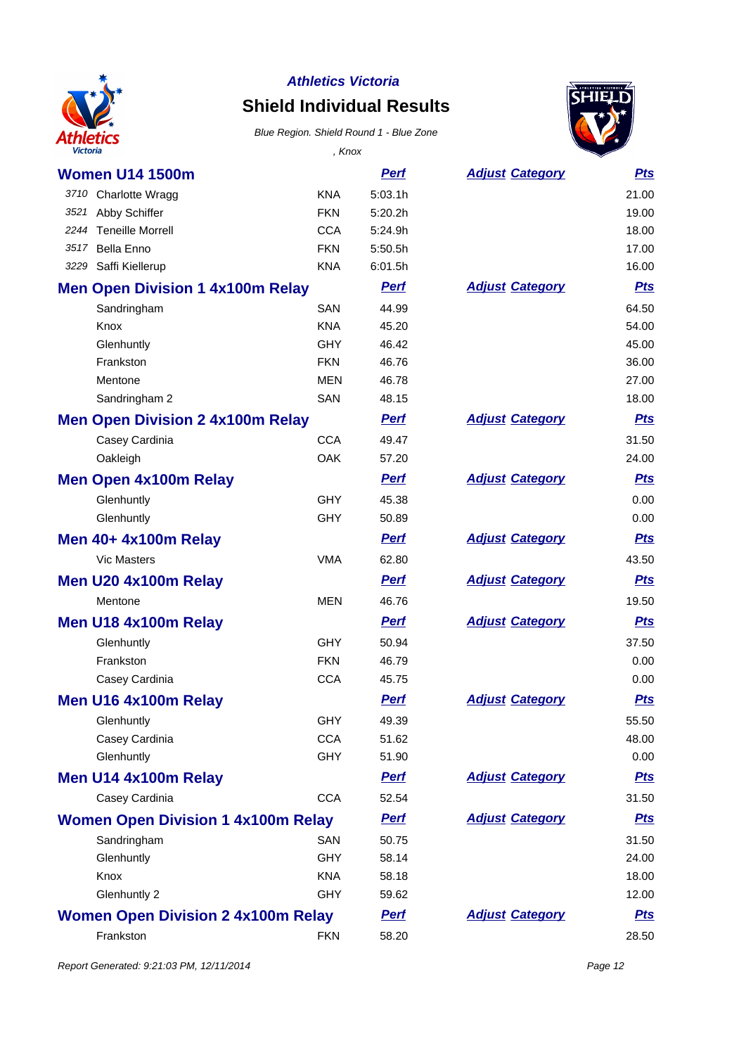

## **Shield Individual Results**

#### Blue Region. Shield Round 1 - Blue Zone



| Victoria                                  | , Knox     |             |                        |            |
|-------------------------------------------|------------|-------------|------------------------|------------|
| <b>Women U14 1500m</b>                    |            | <u>Perf</u> | <b>Adjust Category</b> | <u>Pts</u> |
| 3710 Charlotte Wragg                      | <b>KNA</b> | 5:03.1h     |                        | 21.00      |
| 3521 Abby Schiffer                        | <b>FKN</b> | 5:20.2h     |                        | 19.00      |
| 2244 Teneille Morrell                     | <b>CCA</b> | 5:24.9h     |                        | 18.00      |
| Bella Enno<br>3517                        | <b>FKN</b> | 5:50.5h     |                        | 17.00      |
| 3229 Saffi Kiellerup                      | <b>KNA</b> | 6:01.5h     |                        | 16.00      |
| <b>Men Open Division 1 4x100m Relay</b>   |            | <b>Pert</b> | <b>Adjust Category</b> | <u>Pts</u> |
| Sandringham                               | <b>SAN</b> | 44.99       |                        | 64.50      |
| Knox                                      | <b>KNA</b> | 45.20       |                        | 54.00      |
| Glenhuntly                                | <b>GHY</b> | 46.42       |                        | 45.00      |
| Frankston                                 | <b>FKN</b> | 46.76       |                        | 36.00      |
| Mentone                                   | <b>MEN</b> | 46.78       |                        | 27.00      |
| Sandringham 2                             | SAN        | 48.15       |                        | 18.00      |
| <b>Men Open Division 2 4x100m Relay</b>   |            | <b>Pert</b> | <b>Adjust Category</b> | <u>Pts</u> |
| Casey Cardinia                            | <b>CCA</b> | 49.47       |                        | 31.50      |
| Oakleigh                                  | OAK        | 57.20       |                        | 24.00      |
| <b>Men Open 4x100m Relay</b>              |            | <b>Perf</b> | <b>Adjust Category</b> | <b>Pts</b> |
| Glenhuntly                                | <b>GHY</b> | 45.38       |                        | 0.00       |
| Glenhuntly                                | <b>GHY</b> | 50.89       |                        | 0.00       |
| <b>Men 40+ 4x100m Relay</b>               |            | <b>Perf</b> | <b>Adjust Category</b> | <b>Pts</b> |
| <b>Vic Masters</b>                        | <b>VMA</b> | 62.80       |                        | 43.50      |
| Men U20 4x100m Relay                      |            | <b>Perf</b> | <b>Adjust Category</b> | <b>Pts</b> |
| Mentone                                   | <b>MEN</b> | 46.76       |                        | 19.50      |
| Men U18 4x100m Relay                      |            | <b>Perf</b> | <b>Adjust Category</b> | <b>Pts</b> |
| Glenhuntly                                | <b>GHY</b> | 50.94       |                        | 37.50      |
| Frankston                                 | <b>FKN</b> | 46.79       |                        | 0.00       |
| Casey Cardinia                            | <b>CCA</b> | 45.75       |                        | 0.00       |
| Men U16 4x100m Relay                      |            | <b>Perf</b> | <b>Adjust Category</b> | <u>Pts</u> |
| Glenhuntly                                | GHY        | 49.39       |                        | 55.50      |
| Casey Cardinia                            | <b>CCA</b> | 51.62       |                        | 48.00      |
| Glenhuntly                                | <b>GHY</b> | 51.90       |                        | 0.00       |
| Men U14 4x100m Relay                      |            | <b>Perf</b> | <b>Adjust Category</b> | <u>Pts</u> |
| Casey Cardinia                            | <b>CCA</b> | 52.54       |                        | 31.50      |
| <b>Women Open Division 1 4x100m Relay</b> |            | <b>Perf</b> | <b>Adjust Category</b> | <u>Pts</u> |
| Sandringham                               | SAN        | 50.75       |                        | 31.50      |
| Glenhuntly                                | <b>GHY</b> | 58.14       |                        | 24.00      |
| Knox                                      | <b>KNA</b> | 58.18       |                        | 18.00      |
| Glenhuntly 2                              | <b>GHY</b> | 59.62       |                        | 12.00      |
| <b>Women Open Division 2 4x100m Relay</b> |            | <b>Perf</b> | <b>Adjust Category</b> | <u>Pts</u> |
| Frankston                                 | <b>FKN</b> | 58.20       |                        | 28.50      |

Report Generated: 9:21:03 PM, 12/11/2014 **Page 12**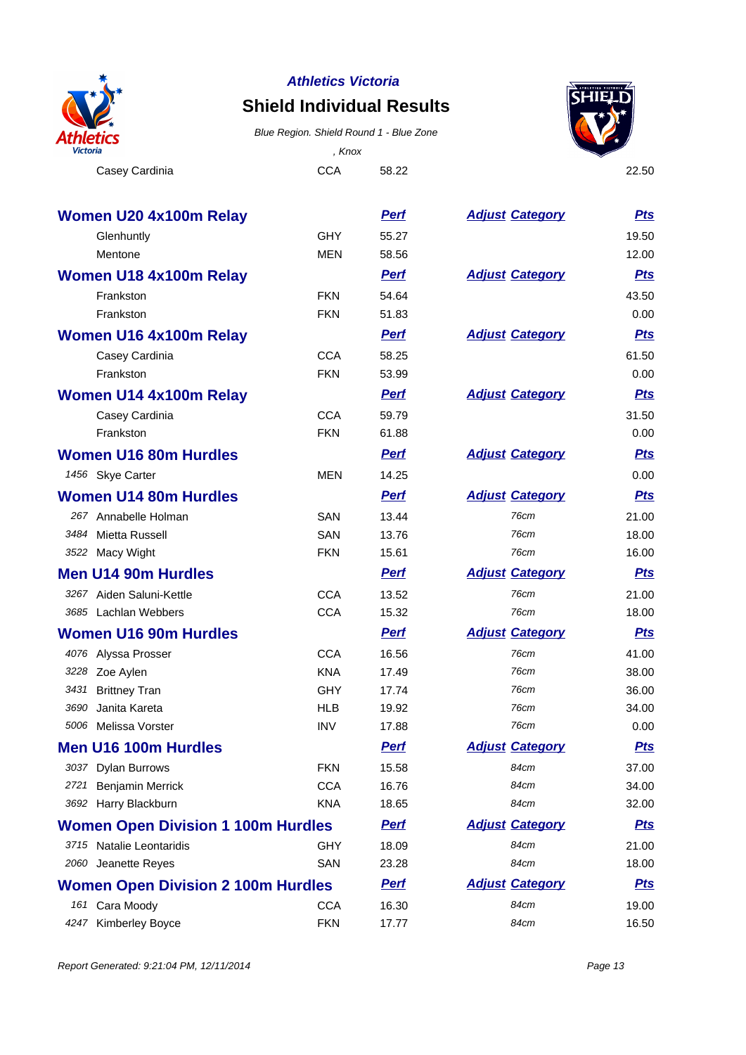

## **Shield Individual Results**

Blue Region. Shield Round 1 - Blue Zone

Casey Cardinia 22.50 , Knox



| <b>Women U20 4x100m Relay</b>             |            | <u>Perf</u> | <b>Adjust Category</b> | <b>Pts</b> |
|-------------------------------------------|------------|-------------|------------------------|------------|
| Glenhuntly                                | <b>GHY</b> | 55.27       |                        | 19.50      |
| Mentone                                   | <b>MEN</b> | 58.56       |                        | 12.00      |
| <b>Women U18 4x100m Relay</b>             |            | <b>Perf</b> | <b>Adjust Category</b> | <b>Pts</b> |
| Frankston                                 | <b>FKN</b> | 54.64       |                        | 43.50      |
| Frankston                                 | <b>FKN</b> | 51.83       |                        | 0.00       |
| Women U16 4x100m Relay                    |            | <b>Perf</b> | <b>Adjust Category</b> | <b>Pts</b> |
| Casey Cardinia                            | <b>CCA</b> | 58.25       |                        | 61.50      |
| Frankston                                 | <b>FKN</b> | 53.99       |                        | 0.00       |
| Women U14 4x100m Relay                    |            | <b>Perf</b> | <b>Adjust Category</b> | <b>Pts</b> |
| Casey Cardinia                            | <b>CCA</b> | 59.79       |                        | 31.50      |
| Frankston                                 | <b>FKN</b> | 61.88       |                        | 0.00       |
| <b>Women U16 80m Hurdles</b>              |            | <b>Perf</b> | <b>Adjust Category</b> | <b>Pts</b> |
| 1456 Skye Carter                          | <b>MEN</b> | 14.25       |                        | 0.00       |
| <b>Women U14 80m Hurdles</b>              |            | <b>Perf</b> | <b>Adjust Category</b> | <b>Pts</b> |
| 267 Annabelle Holman                      | SAN        | 13.44       | 76cm                   | 21.00      |
| 3484 Mietta Russell                       | <b>SAN</b> | 13.76       | 76cm                   | 18.00      |
| 3522 Macy Wight                           | <b>FKN</b> | 15.61       | 76cm                   | 16.00      |
| <b>Men U14 90m Hurdles</b>                |            | <b>Perf</b> | <b>Adjust Category</b> | <b>Pts</b> |
| 3267 Aiden Saluni-Kettle                  | <b>CCA</b> | 13.52       | 76cm                   | 21.00      |
| 3685 Lachlan Webbers                      | <b>CCA</b> | 15.32       | 76cm                   | 18.00      |
| <b>Women U16 90m Hurdles</b>              |            | <b>Perf</b> | <b>Adjust Category</b> | <b>Pts</b> |
| 4076 Alyssa Prosser                       | <b>CCA</b> | 16.56       | 76cm                   | 41.00      |
| 3228 Zoe Aylen                            | <b>KNA</b> | 17.49       | 76cm                   | 38.00      |
| 3431 Brittney Tran                        | <b>GHY</b> | 17.74       | 76cm                   | 36.00      |
| Janita Kareta<br>3690                     | <b>HLB</b> | 19.92       | 76cm                   | 34.00      |
| 5006 Melissa Vorster                      | <b>INV</b> | 17.88       | 76cm                   | 0.00       |
| Men U16 100m Hurdles                      |            | <b>Pert</b> | <b>Adjust Category</b> | <b>Pts</b> |
| 3037 Dylan Burrows                        | <b>FKN</b> | 15.58       | 84cm                   | 37.00      |
| 2721 Benjamin Merrick                     | <b>CCA</b> | 16.76       | 84cm                   | 34.00      |
| 3692 Harry Blackburn                      | <b>KNA</b> | 18.65       | 84cm                   | 32.00      |
| <b>Women Open Division 1 100m Hurdles</b> |            | <b>Perf</b> | <b>Adjust Category</b> | <b>Pts</b> |
| 3715 Natalie Leontaridis                  | <b>GHY</b> | 18.09       | 84cm                   | 21.00      |
| 2060 Jeanette Reyes                       | SAN        | 23.28       | 84cm                   | 18.00      |
| <b>Women Open Division 2 100m Hurdles</b> |            | <b>Perf</b> | <b>Adjust Category</b> | <b>Pts</b> |
| 161 Cara Moody                            | <b>CCA</b> | 16.30       | 84cm                   | 19.00      |
| 4247<br><b>Kimberley Boyce</b>            | <b>FKN</b> | 17.77       | 84cm                   | 16.50      |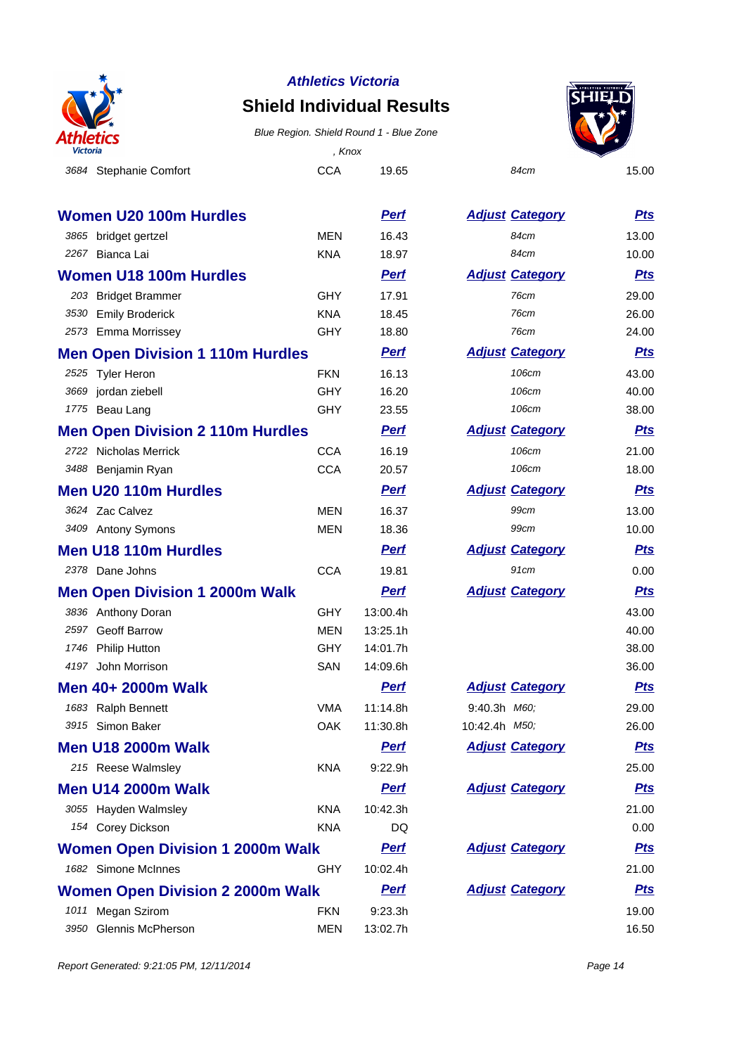

### **Shield Individual Results**





|      | <b>Women U20 100m Hurdles</b>           |            | <b>Perf</b> | <b>Adjust Category</b> | <u>Pts</u> |
|------|-----------------------------------------|------------|-------------|------------------------|------------|
|      | 3865 bridget gertzel                    | <b>MEN</b> | 16.43       | 84cm                   | 13.00      |
|      | 2267 Bianca Lai                         | <b>KNA</b> | 18.97       | 84cm                   | 10.00      |
|      | <b>Women U18 100m Hurdles</b>           |            | <b>Perf</b> | <b>Adjust Category</b> | <b>Pts</b> |
|      | 203 Bridget Brammer                     | <b>GHY</b> | 17.91       | 76cm                   | 29.00      |
|      | 3530 Emily Broderick                    | <b>KNA</b> | 18.45       | 76cm                   | 26.00      |
|      | 2573 Emma Morrissey                     | <b>GHY</b> | 18.80       | 76cm                   | 24.00      |
|      | <b>Men Open Division 1 110m Hurdles</b> |            | <b>Perf</b> | <b>Adjust Category</b> | <b>Pts</b> |
|      | 2525 Tyler Heron                        | <b>FKN</b> | 16.13       | 106cm                  | 43.00      |
| 3669 | jordan ziebell                          | <b>GHY</b> | 16.20       | 106cm                  | 40.00      |
|      | 1775 Beau Lang                          | GHY        | 23.55       | 106cm                  | 38.00      |
|      | <b>Men Open Division 2 110m Hurdles</b> |            | <u>Perf</u> | <b>Adjust Category</b> | <b>Pts</b> |
|      | 2722 Nicholas Merrick                   | <b>CCA</b> | 16.19       | 106cm                  | 21.00      |
|      | 3488 Benjamin Ryan                      | <b>CCA</b> | 20.57       | 106cm                  | 18.00      |
|      | <b>Men U20 110m Hurdles</b>             |            | <b>Perf</b> | <b>Adjust Category</b> | <b>Pts</b> |
|      | 3624 Zac Calvez                         | <b>MEN</b> | 16.37       | 99cm                   | 13.00      |
|      | 3409 Antony Symons                      | MEN        | 18.36       | 99cm                   | 10.00      |
|      | <b>Men U18 110m Hurdles</b>             |            | <b>Perf</b> | <b>Adjust Category</b> | <u>Pts</u> |
|      | 2378 Dane Johns                         | <b>CCA</b> | 19.81       | 91cm                   | 0.00       |
|      | <b>Men Open Division 1 2000m Walk</b>   |            | <b>Perf</b> | <b>Adjust Category</b> | <b>Pts</b> |
|      | 3836 Anthony Doran                      | <b>GHY</b> | 13:00.4h    |                        | 43.00      |
|      | 2597 Geoff Barrow                       | <b>MEN</b> | 13:25.1h    |                        | 40.00      |
|      | 1746 Philip Hutton                      | <b>GHY</b> | 14:01.7h    |                        | 38.00      |
|      | 4197 John Morrison                      | SAN        | 14:09.6h    |                        | 36.00      |
|      | Men 40+ 2000m Walk                      |            | <u>Perf</u> | <b>Adjust Category</b> | <u>Pts</u> |
|      | 1683 Ralph Bennett                      | <b>VMA</b> | 11:14.8h    | 9:40.3h M60,           | 29.00      |
|      | 3915 Simon Baker                        | OAK        | 11:30.8h    | 10:42.4h M50;          | 26.00      |
|      | <b>Men U18 2000m Walk</b>               |            | <b>Perf</b> | <b>Adjust Category</b> | <b>Pts</b> |
|      | 215 Reese Walmsley                      | <b>KNA</b> | 9:22.9h     |                        | 25.00      |
|      | <b>Men U14 2000m Walk</b>               |            | <b>Perf</b> | <b>Adjust Category</b> | <b>Pts</b> |
|      | 3055 Hayden Walmsley                    | <b>KNA</b> | 10:42.3h    |                        | 21.00      |
|      | 154 Corey Dickson                       | <b>KNA</b> | DQ          |                        | 0.00       |
|      | <b>Women Open Division 1 2000m Walk</b> |            | <u>Perf</u> | <b>Adjust Category</b> | <u>Pts</u> |
|      | 1682 Simone McInnes                     | GHY        | 10:02.4h    |                        | 21.00      |
|      | <b>Women Open Division 2 2000m Walk</b> |            | <b>Perf</b> | <b>Adjust Category</b> | <u>Pts</u> |
|      | 1011 Megan Szirom                       | <b>FKN</b> | 9:23.3h     |                        | 19.00      |
|      | 3950 Glennis McPherson                  | <b>MEN</b> | 13:02.7h    |                        | 16.50      |

| <b>Adjust Category</b> | <u>Pts</u> |
|------------------------|------------|
| 84cm                   | 13.00      |
| 84cm                   | 10.00      |
| <b>Adjust Category</b> | <u>Pts</u> |
| 76cm                   | 29.00      |
| 76cm                   | 26.00      |
| 76cm                   | 24.00      |
| <b>Adjust Category</b> | <u>Pts</u> |
| 106cm                  | 43.00      |
| 106cm                  | 40.00      |
| 106cm                  | 38.00      |
| <b>Adjust Category</b> | <u>Pts</u> |
| 106cm                  | 21.00      |
| 106cm                  | 18.00      |
| <b>Adjust Category</b> | <u>Pts</u> |
| 99cm                   | 13.00      |
| 99cm                   | 10.00      |
| <b>Adjust Category</b> | <u>Pts</u> |
| 91cm                   | 0.00       |
| <b>Adjust Category</b> | <b>Pts</b> |
|                        | 43.00      |
|                        | 40.00      |
|                        | 38.00      |
|                        | 36.00      |
| <b>Adjust Category</b> | <b>Pts</b> |
| 9:40.3h M60;           | 29.00      |
| 10:42.4h <i>M50</i> ;  | 26.00      |
| <b>Adjust Category</b> | <u>Pts</u> |
|                        | 25.00      |
| <b>Adjust Category</b> | <u>Pts</u> |
|                        | 21.00      |
|                        | 0.00       |
| <b>Adjust Category</b> | <u>Pts</u> |
|                        | 21.00      |
| <b>Adjust Category</b> | <u>Pts</u> |
|                        | 19.00      |
|                        | 16.50      |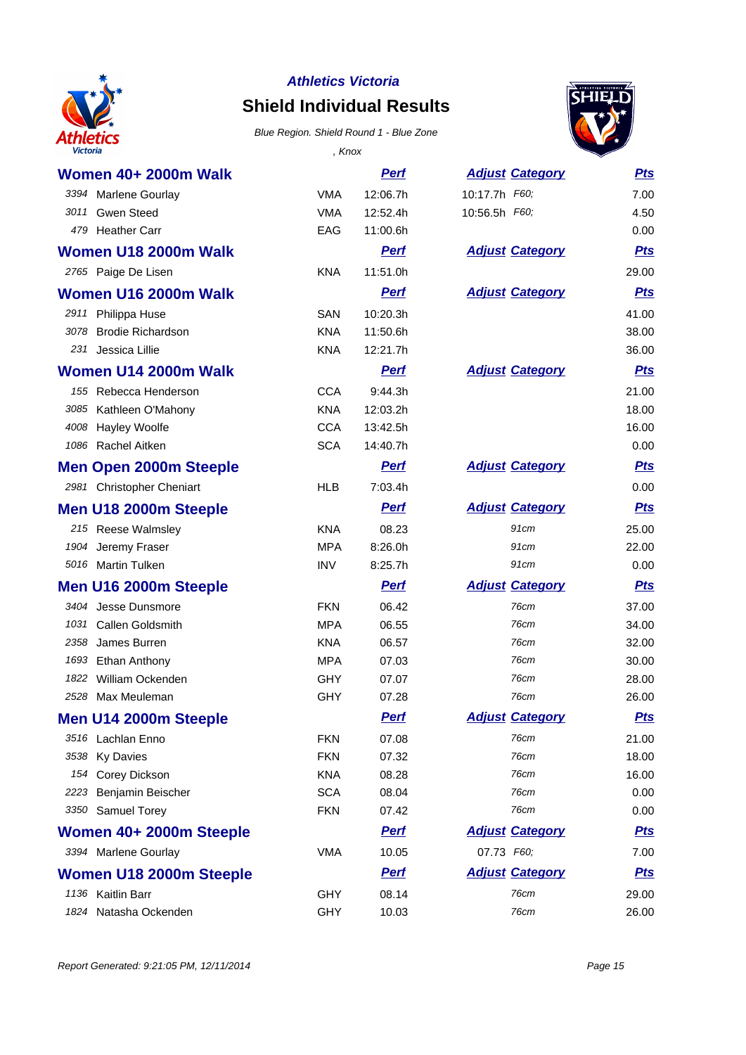

## **Shield Individual Results**



| <b>Victoria</b>               | , Knox     |             |                        |            |
|-------------------------------|------------|-------------|------------------------|------------|
| <b>Women 40+ 2000m Walk</b>   |            | <b>Perf</b> | <b>Adjust Category</b> | <b>Pts</b> |
| 3394 Marlene Gourlay          | <b>VMA</b> | 12:06.7h    | 10:17.7h F60;          | 7.00       |
| 3011 Gwen Steed               | <b>VMA</b> | 12:52.4h    | 10:56.5h F60;          | 4.50       |
| 479 Heather Carr              | EAG        | 11:00.6h    |                        | 0.00       |
| Women U18 2000m Walk          |            | <b>Perf</b> | <b>Adjust Category</b> | <b>Pts</b> |
| 2765 Paige De Lisen           | <b>KNA</b> | 11:51.0h    |                        | 29.00      |
| Women U16 2000m Walk          |            | <b>Pert</b> | <b>Adjust Category</b> | <b>Pts</b> |
| 2911 Philippa Huse            | <b>SAN</b> | 10:20.3h    |                        | 41.00      |
| 3078 Brodie Richardson        | <b>KNA</b> | 11:50.6h    |                        | 38.00      |
| Jessica Lillie<br>231         | <b>KNA</b> | 12:21.7h    |                        | 36.00      |
| Women U14 2000m Walk          |            | <b>Perf</b> | <b>Adjust Category</b> | <u>Pts</u> |
| 155 Rebecca Henderson         | <b>CCA</b> | 9:44.3h     |                        | 21.00      |
| 3085 Kathleen O'Mahony        | <b>KNA</b> | 12:03.2h    |                        | 18.00      |
| 4008 Hayley Woolfe            | <b>CCA</b> | 13:42.5h    |                        | 16.00      |
| 1086 Rachel Aitken            | <b>SCA</b> | 14:40.7h    |                        | 0.00       |
| <b>Men Open 2000m Steeple</b> |            | <b>Perf</b> | <b>Adjust Category</b> | <u>Pts</u> |
| 2981 Christopher Cheniart     | <b>HLB</b> | 7:03.4h     |                        | 0.00       |
| Men U18 2000m Steeple         |            | <b>Perf</b> | <b>Adjust Category</b> | <b>Pts</b> |
| 215 Reese Walmsley            | <b>KNA</b> | 08.23       | 91cm                   | 25.00      |
| 1904 Jeremy Fraser            | <b>MPA</b> | 8:26.0h     | 91cm                   | 22.00      |
| 5016 Martin Tulken            | <b>INV</b> | 8:25.7h     | 91cm                   | 0.00       |
| Men U16 2000m Steeple         |            | Perf        | <b>Adjust Category</b> | <u>Pts</u> |
| 3404 Jesse Dunsmore           | <b>FKN</b> | 06.42       | 76cm                   | 37.00      |
| 1031 Callen Goldsmith         | <b>MPA</b> | 06.55       | 76cm                   | 34.00      |
| 2358<br>James Burren          | <b>KNA</b> | 06.57       | 76cm                   | 32.00      |
| 1693 Ethan Anthony            | <b>MPA</b> | 07.03       | 76cm                   | 30.00      |
| 1822 William Ockenden         | <b>GHY</b> | 07.07       | <b>76cm</b>            | 28.00      |
| 2528 Max Meuleman             | <b>GHY</b> | 07.28       | 76cm                   | 26.00      |
| Men U14 2000m Steeple         |            | <u>Perf</u> | <b>Adjust Category</b> | <u>Pts</u> |
| 3516 Lachlan Enno             | <b>FKN</b> | 07.08       | 76cm                   | 21.00      |
| 3538 Ky Davies                | <b>FKN</b> | 07.32       | 76cm                   | 18.00      |
| 154 Corey Dickson             | <b>KNA</b> | 08.28       | 76cm                   | 16.00      |
| 2223 Benjamin Beischer        | <b>SCA</b> | 08.04       | 76cm                   | 0.00       |
| 3350 Samuel Torey             | <b>FKN</b> | 07.42       | 76cm                   | 0.00       |
| Women 40+ 2000m Steeple       |            | <b>Perf</b> | <b>Adjust Category</b> | <u>Pts</u> |
| 3394 Marlene Gourlay          | <b>VMA</b> | 10.05       | 07.73 F60;             | 7.00       |
| Women U18 2000m Steeple       |            | <b>Perf</b> | <b>Adjust Category</b> | <u>Pts</u> |
| 1136 Kaitlin Barr             | <b>GHY</b> | 08.14       | 76cm                   | 29.00      |
| 1824 Natasha Ockenden         | <b>GHY</b> | 10.03       | 76cm                   | 26.00      |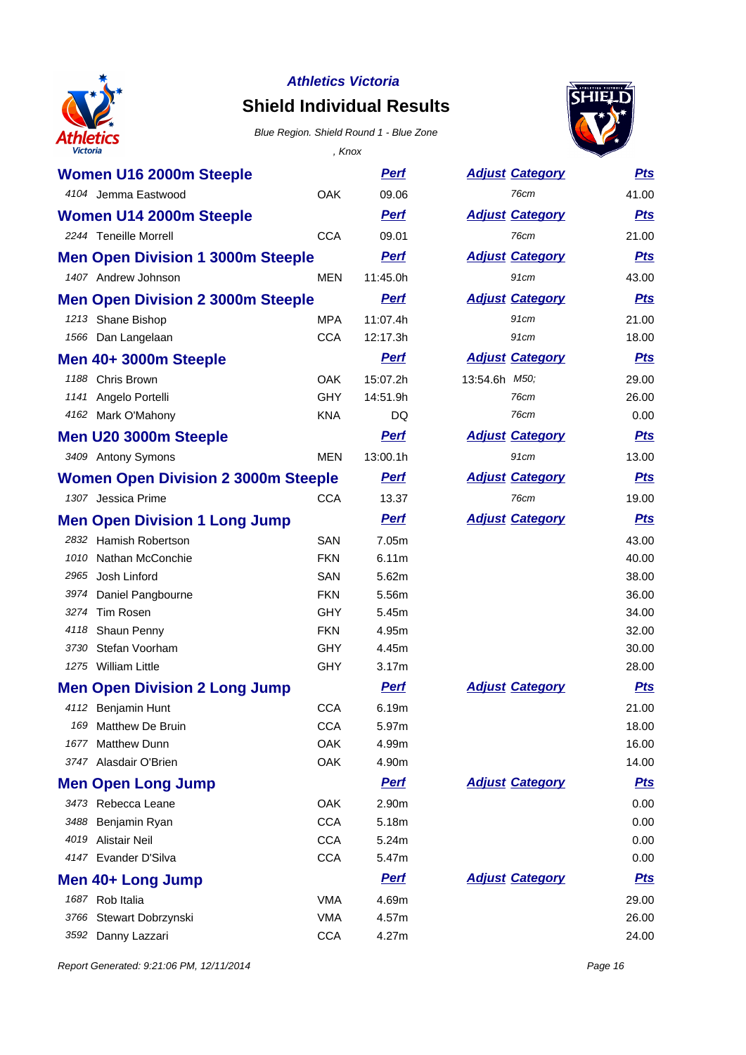

## **Shield Individual Results**

#### Blue Region. Shield Round 1 - Blue Zone



| <b>Victoria</b>                            | , Knox     |             |                        |            |
|--------------------------------------------|------------|-------------|------------------------|------------|
| Women U16 2000m Steeple                    |            | <b>Perf</b> | <b>Adjust Category</b> | <u>Pts</u> |
| 4104 Jemma Eastwood                        | <b>OAK</b> | 09.06       | 76cm                   | 41.00      |
| Women U14 2000m Steeple                    |            | <b>Perf</b> | <b>Adjust Category</b> | <u>Pts</u> |
| 2244 Teneille Morrell                      | <b>CCA</b> | 09.01       | 76cm                   | 21.00      |
| <b>Men Open Division 1 3000m Steeple</b>   |            | <b>Perf</b> | <b>Adjust Category</b> | <b>Pts</b> |
| 1407 Andrew Johnson                        | <b>MEN</b> | 11:45.0h    | 91cm                   | 43.00      |
| <b>Men Open Division 2 3000m Steeple</b>   |            | <b>Perf</b> | <b>Adjust Category</b> | <b>Pts</b> |
| 1213 Shane Bishop                          | <b>MPA</b> | 11:07.4h    | 91cm                   | 21.00      |
| 1566 Dan Langelaan                         | <b>CCA</b> | 12:17.3h    | 91cm                   | 18.00      |
| Men 40+ 3000m Steeple                      |            | <b>Perf</b> | <b>Adjust Category</b> | <u>Pts</u> |
| 1188 Chris Brown                           | <b>OAK</b> | 15:07.2h    | 13:54.6h M50;          | 29.00      |
| 1141 Angelo Portelli                       | <b>GHY</b> | 14:51.9h    | 76cm                   | 26.00      |
| 4162 Mark O'Mahony                         | <b>KNA</b> | DQ          | 76cm                   | 0.00       |
| Men U20 3000m Steeple                      |            | <b>Perf</b> | <b>Adjust Category</b> | <u>Pts</u> |
| 3409 Antony Symons                         | <b>MEN</b> | 13:00.1h    | 91cm                   | 13.00      |
| <b>Women Open Division 2 3000m Steeple</b> |            | <b>Perf</b> | <b>Adjust Category</b> | <u>Pts</u> |
| 1307 Jessica Prime                         | <b>CCA</b> | 13.37       | 76cm                   | 19.00      |
| <b>Men Open Division 1 Long Jump</b>       |            | <b>Perf</b> | <b>Adjust Category</b> | <u>Pts</u> |
| 2832 Hamish Robertson                      | <b>SAN</b> | 7.05m       |                        | 43.00      |
| 1010 Nathan McConchie                      | <b>FKN</b> | 6.11m       |                        | 40.00      |
| Josh Linford<br>2965                       | <b>SAN</b> | 5.62m       |                        | 38.00      |
| 3974 Daniel Pangbourne                     | <b>FKN</b> | 5.56m       |                        | 36.00      |
| 3274 Tim Rosen                             | GHY        | 5.45m       |                        | 34.00      |
| 4118 Shaun Penny                           | <b>FKN</b> | 4.95m       |                        | 32.00      |
| 3730 Stefan Voorham                        | <b>GHY</b> | 4.45m       |                        | 30.00      |
| 1275 William Little                        | <b>GHY</b> | 3.17m       |                        | 28.00      |
| <b>Men Open Division 2 Long Jump</b>       |            | <b>Perf</b> | <b>Adjust Category</b> | <u>Pts</u> |
| 4112 Benjamin Hunt                         | CCA        | 6.19m       |                        | 21.00      |
| Matthew De Bruin<br>169                    | <b>CCA</b> | 5.97m       |                        | 18.00      |
| 1677<br><b>Matthew Dunn</b>                | <b>OAK</b> | 4.99m       |                        | 16.00      |
| 3747 Alasdair O'Brien                      | <b>OAK</b> | 4.90m       |                        | 14.00      |
| <b>Men Open Long Jump</b>                  |            | <b>Perf</b> | <b>Adjust Category</b> | <u>Pts</u> |
| 3473 Rebecca Leane                         | OAK        | 2.90m       |                        | 0.00       |
| 3488<br>Benjamin Ryan                      | <b>CCA</b> | 5.18m       |                        | 0.00       |
| 4019 Alistair Neil                         | <b>CCA</b> | 5.24m       |                        | 0.00       |
| 4147 Evander D'Silva                       | <b>CCA</b> | 5.47m       |                        | 0.00       |
| Men 40+ Long Jump                          |            | <b>Perf</b> | <b>Adjust Category</b> | <u>Pts</u> |
| 1687 Rob Italia                            | <b>VMA</b> | 4.69m       |                        | 29.00      |
| 3766<br>Stewart Dobrzynski                 | <b>VMA</b> | 4.57m       |                        | 26.00      |
| 3592 Danny Lazzari                         | <b>CCA</b> | 4.27m       |                        | 24.00      |
|                                            |            |             |                        |            |

| 91cm               | 21.00      |
|--------------------|------------|
| 91cm               | 18.00      |
| <u>st Category</u> | <b>Pts</b> |
| 3h <i>M50;</i>     | 29.00      |
| 76cm               | 26.00      |
| 76cm               | 0.00       |
| st Category        | <b>Pts</b> |
| 91cm               | 13.00      |
| st Category        | <u>Pts</u> |
| 76cm               | 19.00      |
| st Category        | <b>Pts</b> |
|                    | 43.00      |
|                    | 40.00      |
|                    | 38.00      |
|                    | 36.00      |
|                    | 34.00      |
|                    | 32.00      |
|                    | 30.00      |
|                    | 28.00      |
| st Category        | <b>Pts</b> |
|                    | 21.00      |
|                    | 18.00      |
|                    | 16.00      |
|                    | 14.00      |
| st Category        | <b>Pts</b> |
|                    | 0.00       |
|                    | 0.00       |
|                    | 0.00       |
|                    | 0.00       |
| st Category        | <b>Pts</b> |
|                    | 29.00      |
|                    | 26.00      |
|                    | 24.00      |
|                    |            |

Report Generated: 9:21:06 PM, 12/11/2014 **Page 16**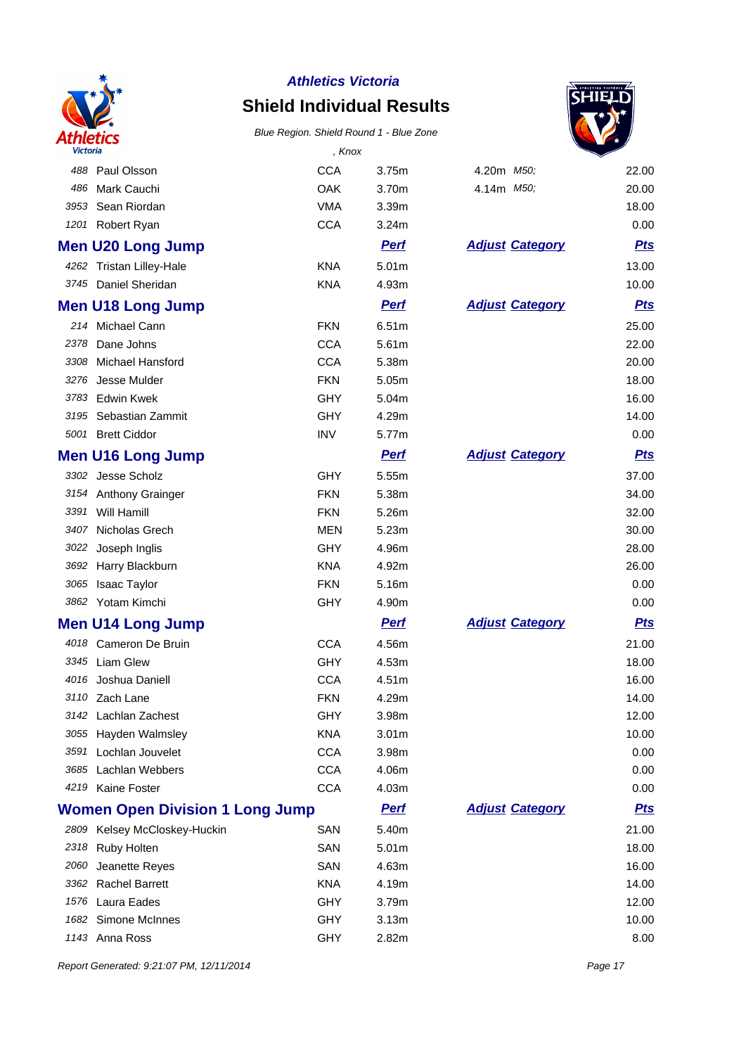

# **Shield Individual Results**

#### Blue Region. Shield Round 1 - Blue Zone



| <b>Victoria</b> |                                        | , Knox     |                   |                        |            |
|-----------------|----------------------------------------|------------|-------------------|------------------------|------------|
| 488             | Paul Olsson                            | <b>CCA</b> | 3.75m             | 4.20m M50;             | 22.00      |
| 486             | Mark Cauchi                            | OAK        | 3.70m             | 4.14m M50;             | 20.00      |
| 3953            | Sean Riordan                           | <b>VMA</b> | 3.39m             |                        | 18.00      |
|                 | 1201 Robert Ryan                       | <b>CCA</b> | 3.24m             |                        | 0.00       |
|                 | <b>Men U20 Long Jump</b>               |            | <b>Perf</b>       | <b>Adjust Category</b> | <b>Pts</b> |
|                 | 4262 Tristan Lilley-Hale               | <b>KNA</b> | 5.01m             |                        | 13.00      |
|                 | 3745 Daniel Sheridan                   | <b>KNA</b> | 4.93m             |                        | 10.00      |
|                 | <b>Men U18 Long Jump</b>               |            | <b>Perf</b>       | <b>Adjust Category</b> | <b>Pts</b> |
|                 | 214 Michael Cann                       | <b>FKN</b> | 6.51m             |                        | 25.00      |
| 2378            | Dane Johns                             | <b>CCA</b> | 5.61m             |                        | 22.00      |
| 3308            | <b>Michael Hansford</b>                | <b>CCA</b> | 5.38m             |                        | 20.00      |
| 3276            | Jesse Mulder                           | <b>FKN</b> | 5.05m             |                        | 18.00      |
| 3783            | <b>Edwin Kwek</b>                      | <b>GHY</b> | 5.04m             |                        | 16.00      |
|                 | 3195 Sebastian Zammit                  | GHY        | 4.29m             |                        | 14.00      |
|                 | 5001 Brett Ciddor                      | <b>INV</b> | 5.77m             |                        | 0.00       |
|                 | <b>Men U16 Long Jump</b>               |            | <b>Perf</b>       | <b>Adjust Category</b> | <b>Pts</b> |
|                 | 3302 Jesse Scholz                      | <b>GHY</b> | 5.55m             |                        | 37.00      |
|                 | 3154 Anthony Grainger                  | <b>FKN</b> | 5.38m             |                        | 34.00      |
| 3391            | Will Hamill                            | <b>FKN</b> | 5.26m             |                        | 32.00      |
| 3407            | Nicholas Grech                         | MEN        | 5.23m             |                        | 30.00      |
| 3022            | Joseph Inglis                          | GHY        | 4.96m             |                        | 28.00      |
|                 | 3692 Harry Blackburn                   | <b>KNA</b> | 4.92m             |                        | 26.00      |
| 3065            | <b>Isaac Taylor</b>                    | <b>FKN</b> | 5.16m             |                        | 0.00       |
|                 | 3862 Yotam Kimchi                      | GHY        | 4.90m             |                        | 0.00       |
|                 | <b>Men U14 Long Jump</b>               |            | <b>Perf</b>       | <b>Adjust Category</b> | <b>Pts</b> |
| 4018            | Cameron De Bruin                       | <b>CCA</b> | 4.56m             |                        | 21.00      |
|                 | 3345 Liam Glew                         | GHY        | 4.53m             |                        | 18.00      |
|                 | 4016 Joshua Daniell                    | <b>CCA</b> | 4.51m             |                        | 16.00      |
|                 | 3110 Zach Lane                         | <b>FKN</b> | 4.29m             |                        | 14.00      |
|                 | 3142 Lachlan Zachest                   | <b>GHY</b> | 3.98m             |                        | 12.00      |
| 3055            | Hayden Walmsley                        | <b>KNA</b> | 3.01 <sub>m</sub> |                        | 10.00      |
| 3591            | Lochlan Jouvelet                       | <b>CCA</b> | 3.98m             |                        | 0.00       |
| 3685            | Lachlan Webbers                        | <b>CCA</b> | 4.06m             |                        | 0.00       |
| 4219            | Kaine Foster                           | <b>CCA</b> | 4.03m             |                        | 0.00       |
|                 | <b>Women Open Division 1 Long Jump</b> |            | <b>Perf</b>       | <b>Adjust Category</b> | <u>Pts</u> |
|                 | 2809 Kelsey McCloskey-Huckin           | SAN        | 5.40m             |                        | 21.00      |
| 2318            | Ruby Holten                            | SAN        | 5.01 <sub>m</sub> |                        | 18.00      |
| 2060            | Jeanette Reyes                         | SAN        | 4.63m             |                        | 16.00      |
|                 | 3362 Rachel Barrett                    | <b>KNA</b> | 4.19m             |                        | 14.00      |
| 1576            | Laura Eades                            | GHY        | 3.79m             |                        | 12.00      |
| 1682            | Simone McInnes                         | GHY        | 3.13m             |                        | 10.00      |
| 1143            | Anna Ross                              | GHY        | 2.82m             |                        | 8.00       |

Report Generated: 9:21:07 PM, 12/11/2014 **Page 17**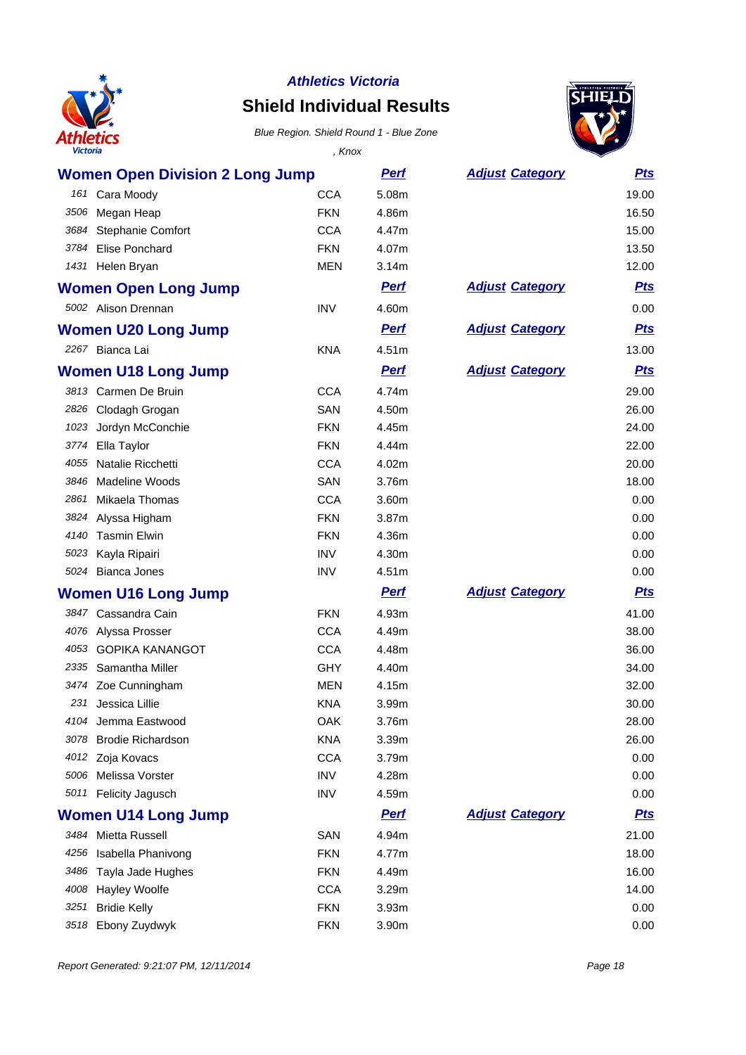

## **Shield Individual Results**



| <b>Victoria</b> |                                        | , Knox     |             |                        |            |
|-----------------|----------------------------------------|------------|-------------|------------------------|------------|
|                 | <b>Women Open Division 2 Long Jump</b> |            | <u>Perf</u> | <b>Adjust Category</b> | <b>Pts</b> |
|                 | 161 Cara Moody                         | <b>CCA</b> | 5.08m       |                        | 19.00      |
| 3506            | Megan Heap                             | <b>FKN</b> | 4.86m       |                        | 16.50      |
|                 | 3684 Stephanie Comfort                 | <b>CCA</b> | 4.47m       |                        | 15.00      |
|                 | 3784 Elise Ponchard                    | <b>FKN</b> | 4.07m       |                        | 13.50      |
|                 | 1431 Helen Bryan                       | <b>MEN</b> | 3.14m       |                        | 12.00      |
|                 | <b>Women Open Long Jump</b>            |            | <b>Perf</b> | <b>Adjust Category</b> | <b>Pts</b> |
|                 | 5002 Alison Drennan                    | <b>INV</b> | 4.60m       |                        | 0.00       |
|                 | <b>Women U20 Long Jump</b>             |            | <b>Perf</b> | <b>Adjust Category</b> | <u>Pts</u> |
|                 | 2267 Bianca Lai                        | <b>KNA</b> | 4.51m       |                        | 13.00      |
|                 | <b>Women U18 Long Jump</b>             |            | <b>Perf</b> | <b>Adjust Category</b> | <b>Pts</b> |
|                 | 3813 Carmen De Bruin                   | <b>CCA</b> | 4.74m       |                        | 29.00      |
|                 | 2826 Clodagh Grogan                    | SAN        | 4.50m       |                        | 26.00      |
| 1023            | Jordyn McConchie                       | <b>FKN</b> | 4.45m       |                        | 24.00      |
| 3774            | Ella Taylor                            | <b>FKN</b> | 4.44m       |                        | 22.00      |
| 4055            | Natalie Ricchetti                      | <b>CCA</b> | 4.02m       |                        | 20.00      |
| 3846            | <b>Madeline Woods</b>                  | SAN        | 3.76m       |                        | 18.00      |
| 2861            | Mikaela Thomas                         | <b>CCA</b> | 3.60m       |                        | 0.00       |
|                 | 3824 Alyssa Higham                     | <b>FKN</b> | 3.87m       |                        | 0.00       |
|                 | 4140 Tasmin Elwin                      | <b>FKN</b> | 4.36m       |                        | 0.00       |
|                 | 5023 Kayla Ripairi                     | <b>INV</b> | 4.30m       |                        | 0.00       |
|                 | 5024 Bianca Jones                      | <b>INV</b> | 4.51m       |                        | 0.00       |
|                 | <b>Women U16 Long Jump</b>             |            | <b>Pert</b> | <b>Adjust Category</b> | <b>Pts</b> |
|                 | 3847 Cassandra Cain                    | <b>FKN</b> | 4.93m       |                        | 41.00      |
|                 | 4076 Alyssa Prosser                    | <b>CCA</b> | 4.49m       |                        | 38.00      |
| 4053            | <b>GOPIKA KANANGOT</b>                 | <b>CCA</b> | 4.48m       |                        | 36.00      |
| 2335            | Samantha Miller                        | GHY        | 4.40m       |                        | 34.00      |
|                 | 3474 Zoe Cunningham                    | <b>MEN</b> | 4.15m       |                        | 32.00      |
|                 | 231 Jessica Lillie                     | <b>KNA</b> | 3.99m       |                        | 30.00      |
|                 | 4104 Jemma Eastwood                    | OAK        | 3.76m       |                        | 28.00      |
|                 | 3078 Brodie Richardson                 | <b>KNA</b> | 3.39m       |                        | 26.00      |
|                 | 4012 Zoja Kovacs                       | <b>CCA</b> | 3.79m       |                        | 0.00       |
|                 | 5006 Melissa Vorster                   | <b>INV</b> | 4.28m       |                        | 0.00       |
|                 | 5011 Felicity Jagusch                  | <b>INV</b> | 4.59m       |                        | 0.00       |
|                 | <b>Women U14 Long Jump</b>             |            | <b>Perf</b> | <b>Adjust Category</b> | <u>Pts</u> |
|                 | 3484 Mietta Russell                    | SAN        | 4.94m       |                        | 21.00      |
|                 | 4256 Isabella Phanivong                | <b>FKN</b> | 4.77m       |                        | 18.00      |
|                 | 3486 Tayla Jade Hughes                 | <b>FKN</b> | 4.49m       |                        | 16.00      |
| 4008            | Hayley Woolfe                          | <b>CCA</b> | 3.29m       |                        | 14.00      |
|                 | 3251 Bridie Kelly                      | <b>FKN</b> | 3.93m       |                        | 0.00       |
|                 | 3518 Ebony Zuydwyk                     | <b>FKN</b> | 3.90m       |                        | 0.00       |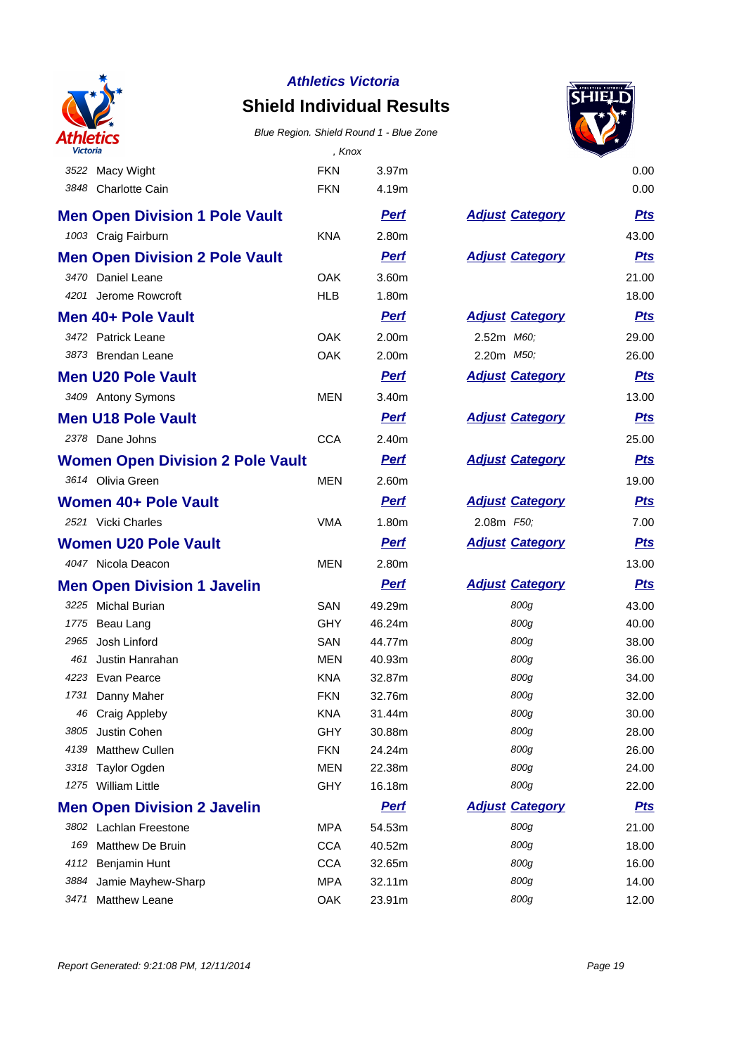

## **Shield Individual Results**



| <b>Victoria</b> |                                         | , Knox     |             |                        |            |
|-----------------|-----------------------------------------|------------|-------------|------------------------|------------|
|                 | 3522 Macy Wight                         | <b>FKN</b> | 3.97m       |                        | 0.00       |
|                 | 3848 Charlotte Cain                     | <b>FKN</b> | 4.19m       |                        | 0.00       |
|                 | <b>Men Open Division 1 Pole Vault</b>   |            | <b>Perf</b> | <b>Adjust Category</b> | <u>Pts</u> |
|                 | 1003 Craig Fairburn                     | <b>KNA</b> | 2.80m       |                        | 43.00      |
|                 | <b>Men Open Division 2 Pole Vault</b>   |            | <b>Perf</b> | <b>Adjust Category</b> | <u>Pts</u> |
|                 | 3470 Daniel Leane                       | <b>OAK</b> | 3.60m       |                        | 21.00      |
|                 | 4201 Jerome Rowcroft                    | <b>HLB</b> | 1.80m       |                        | 18.00      |
|                 | Men 40+ Pole Vault                      |            | <b>Perf</b> | <b>Adjust Category</b> | <u>Pts</u> |
|                 | 3472 Patrick Leane                      | <b>OAK</b> | 2.00m       | 2.52m M60;             | 29.00      |
|                 | 3873 Brendan Leane                      | <b>OAK</b> | 2.00m       | 2.20m <i>M50;</i>      | 26.00      |
|                 | <b>Men U20 Pole Vault</b>               |            | <b>Perf</b> | <b>Adjust Category</b> | <b>Pts</b> |
|                 | 3409 Antony Symons                      | <b>MEN</b> | 3.40m       |                        | 13.00      |
|                 | <b>Men U18 Pole Vault</b>               |            | <b>Pert</b> | <b>Adjust Category</b> | <u>Pts</u> |
|                 | 2378 Dane Johns                         | <b>CCA</b> | 2.40m       |                        | 25.00      |
|                 | <b>Women Open Division 2 Pole Vault</b> |            | <b>Perf</b> | <b>Adjust Category</b> | <b>Pts</b> |
|                 | 3614 Olivia Green                       | <b>MEN</b> | 2.60m       |                        | 19.00      |
|                 | Women 40+ Pole Vault                    |            | <b>Perf</b> | <b>Adjust Category</b> | <u>Pts</u> |
|                 | 2521 Vicki Charles                      | <b>VMA</b> | 1.80m       | 2.08m F50;             | 7.00       |
|                 | Women U20 Pole Vault                    |            | <b>Perf</b> | <b>Adjust Category</b> | <u>Pts</u> |
|                 | 4047 Nicola Deacon                      | <b>MEN</b> | 2.80m       |                        | 13.00      |
|                 | <b>Men Open Division 1 Javelin</b>      |            | <b>Perf</b> | <b>Adjust Category</b> | <u>Pts</u> |
|                 | 3225 Michal Burian                      | <b>SAN</b> | 49.29m      | 800g                   | 43.00      |
|                 | 1775 Beau Lang                          | <b>GHY</b> | 46.24m      | 800g                   | 40.00      |
|                 | 2965 Josh Linford                       | SAN        | 44.77m      | 800g                   | 38.00      |
| 461             | Justin Hanrahan                         | <b>MEN</b> | 40.93m      | 800g                   | 36.00      |
|                 | 4223 Evan Pearce                        | <b>KNA</b> | 32.87m      | 800g                   | 34.00      |
|                 | 1731 Danny Maher                        | <b>FKN</b> | 32.76m      | 800g                   | 32.00      |
|                 | 46 Craig Appleby                        | <b>KNA</b> | 31.44m      | 800g                   | 30.00      |
| 3805            | Justin Cohen                            | GHY        | 30.88m      | 800g                   | 28.00      |
| 4139            | Matthew Cullen                          | <b>FKN</b> | 24.24m      | 800g                   | 26.00      |
| 3318            | <b>Taylor Ogden</b>                     | MEN        | 22.38m      | 800g                   | 24.00      |
|                 | 1275 William Little                     | <b>GHY</b> | 16.18m      | 800g                   | 22.00      |
|                 | <b>Men Open Division 2 Javelin</b>      |            | <b>Perf</b> | <b>Adjust Category</b> | <u>Pts</u> |
|                 | 3802 Lachlan Freestone                  | MPA        | 54.53m      | 800g                   | 21.00      |
| 169             | Matthew De Bruin                        | <b>CCA</b> | 40.52m      | 800g                   | 18.00      |
| 4112            | Benjamin Hunt                           | <b>CCA</b> | 32.65m      | 800g                   | 16.00      |
| 3884            | Jamie Mayhew-Sharp                      | <b>MPA</b> | 32.11m      | 800g                   | 14.00      |
|                 | 3471 Matthew Leane                      | <b>OAK</b> | 23.91m      | 800g                   | 12.00      |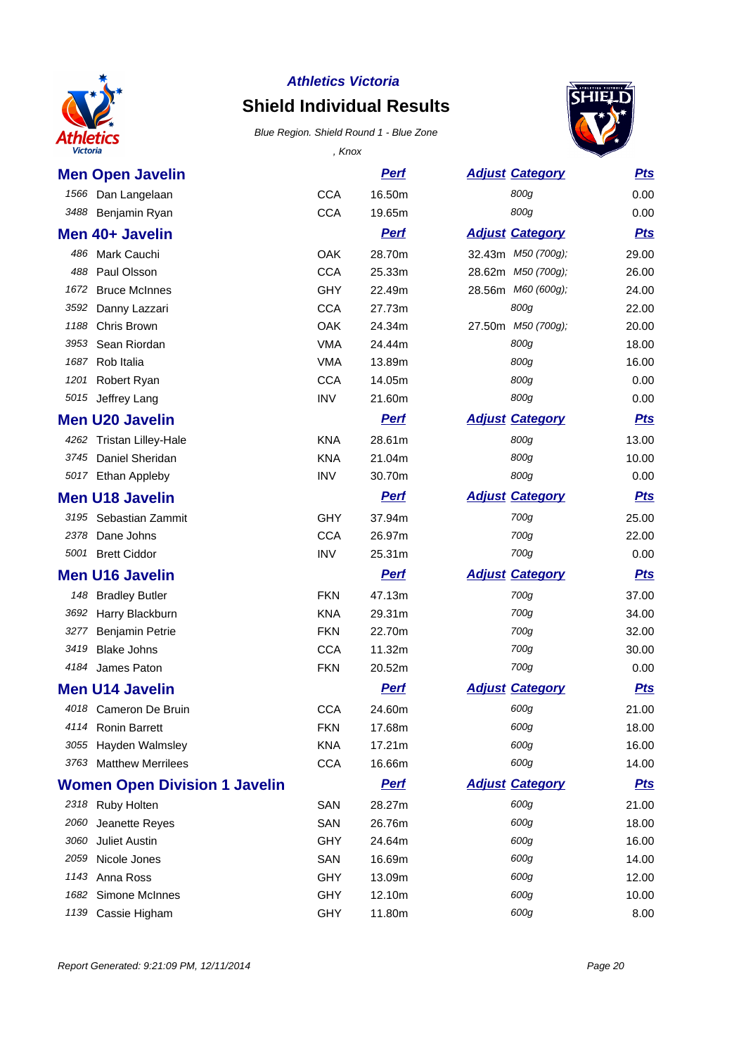

# **Shield Individual Results**



| <b>Victoria</b>                      | , Knox     |             |                        |            |
|--------------------------------------|------------|-------------|------------------------|------------|
| <b>Men Open Javelin</b>              |            | <b>Perf</b> | <b>Adjust Category</b> | <u>Pts</u> |
| 1566 Dan Langelaan                   | <b>CCA</b> | 16.50m      | 800g                   | 0.00       |
| 3488 Benjamin Ryan                   | <b>CCA</b> | 19.65m      | 800g                   | 0.00       |
| Men 40+ Javelin                      |            | <b>Perf</b> | <b>Adjust Category</b> | <b>Pts</b> |
| Mark Cauchi<br>486                   | OAK        | 28.70m      | 32.43m M50 (700g);     | 29.00      |
| 488<br>Paul Olsson                   | <b>CCA</b> | 25.33m      | 28.62m M50 (700g);     | 26.00      |
| <b>Bruce McInnes</b><br>1672         | GHY        | 22.49m      | 28.56m M60 (600g);     | 24.00      |
| 3592 Danny Lazzari                   | <b>CCA</b> | 27.73m      | 800g                   | 22.00      |
| 1188<br>Chris Brown                  | OAK        | 24.34m      | 27.50m M50 (700g);     | 20.00      |
| Sean Riordan<br>3953                 | <b>VMA</b> | 24.44m      | 800g                   | 18.00      |
| Rob Italia<br>1687                   | <b>VMA</b> | 13.89m      | 800g                   | 16.00      |
| 1201 Robert Ryan                     | <b>CCA</b> | 14.05m      | 800g                   | 0.00       |
| 5015 Jeffrey Lang                    | <b>INV</b> | 21.60m      | 800g                   | 0.00       |
| <b>Men U20 Javelin</b>               |            | <b>Perf</b> | <b>Adjust Category</b> | <u>Pts</u> |
| 4262<br><b>Tristan Lilley-Hale</b>   | <b>KNA</b> | 28.61m      | 800g                   | 13.00      |
| 3745 Daniel Sheridan                 | <b>KNA</b> | 21.04m      | 800g                   | 10.00      |
| 5017 Ethan Appleby                   | <b>INV</b> | 30.70m      | 800g                   | 0.00       |
| <b>Men U18 Javelin</b>               |            | <b>Perf</b> | <b>Adjust Category</b> | <b>Pts</b> |
| 3195 Sebastian Zammit                | GHY        | 37.94m      | 700g                   | 25.00      |
| 2378 Dane Johns                      | <b>CCA</b> | 26.97m      | 700g                   | 22.00      |
| 5001 Brett Ciddor                    | <b>INV</b> | 25.31m      | 700g                   | 0.00       |
| <b>Men U16 Javelin</b>               |            | <b>Perf</b> | <b>Adjust Category</b> | <u>Pts</u> |
| 148 Bradley Butler                   | <b>FKN</b> | 47.13m      | 700g                   | 37.00      |
| 3692 Harry Blackburn                 | <b>KNA</b> | 29.31m      | 700g                   | 34.00      |
| 3277<br><b>Benjamin Petrie</b>       | <b>FKN</b> | 22.70m      | 700g                   | 32.00      |
| 3419<br><b>Blake Johns</b>           | <b>CCA</b> | 11.32m      | 700g                   | 30.00      |
| James Paton<br>4184                  | <b>FKN</b> | 20.52m      | 700g                   | 0.00       |
| <b>Men U14 Javelin</b>               |            | <b>Perf</b> | <b>Adjust Category</b> | <b>Pts</b> |
| 4018<br>Cameron De Bruin             | <b>CCA</b> | 24.60m      | 600g                   | 21.00      |
| 4114 Ronin Barrett                   | <b>FKN</b> | 17.68m      | 600g                   | 18.00      |
| 3055 Hayden Walmsley                 | <b>KNA</b> | 17.21m      | 600g                   | 16.00      |
| 3763 Matthew Merrilees               | <b>CCA</b> | 16.66m      | 600g                   | 14.00      |
| <b>Women Open Division 1 Javelin</b> |            | <b>Pert</b> | <b>Adjust Category</b> | <u>Pts</u> |
| 2318 Ruby Holten                     | SAN        | 28.27m      | 600g                   | 21.00      |
| Jeanette Reyes<br>2060               | SAN        | 26.76m      | 600g                   | 18.00      |
| Juliet Austin<br>3060                | <b>GHY</b> | 24.64m      | 600g                   | 16.00      |
| 2059<br>Nicole Jones                 | SAN        | 16.69m      | 600g                   | 14.00      |
| 1143 Anna Ross                       | <b>GHY</b> | 13.09m      | 600g                   | 12.00      |
| 1682 Simone McInnes                  | <b>GHY</b> | 12.10m      | 600g                   | 10.00      |
| 1139 Cassie Higham                   | GHY        | 11.80m      | 600g                   | 8.00       |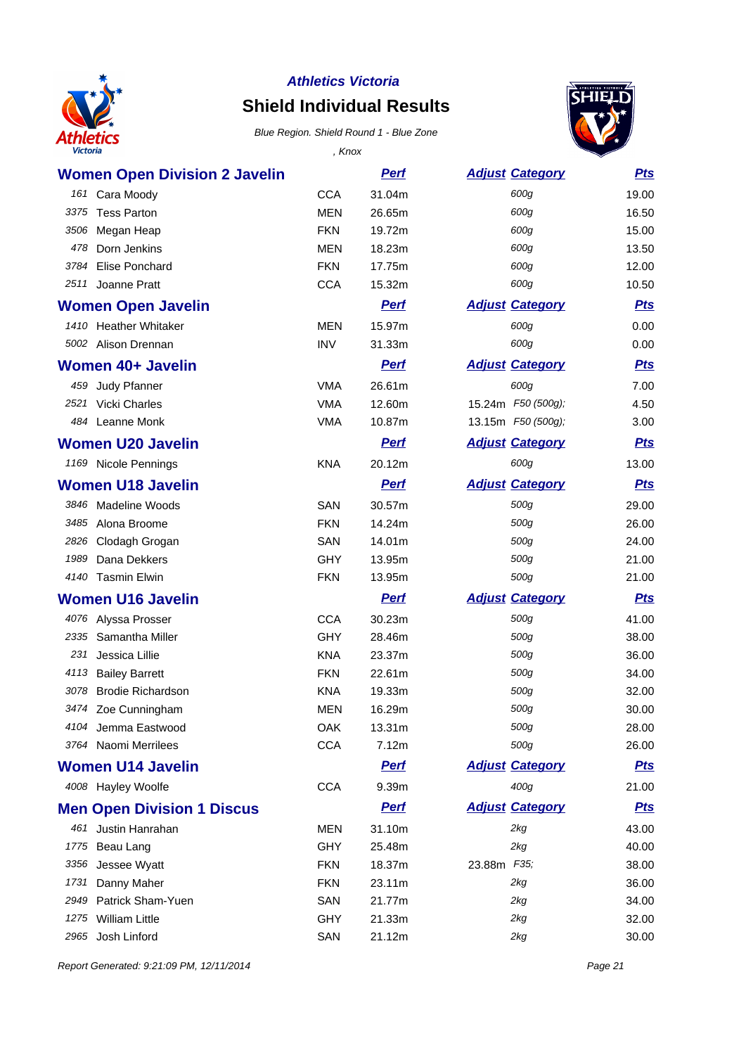

## **Shield Individual Results**

#### Blue Region. Shield Round 1 - Blue Zone



| <b>Victoria</b>                      | , Knox     |             |                        |            |
|--------------------------------------|------------|-------------|------------------------|------------|
| <b>Women Open Division 2 Javelin</b> |            | <u>Perf</u> | <b>Adjust Category</b> | <b>Pts</b> |
| 161 Cara Moody                       | <b>CCA</b> | 31.04m      | 600g                   | 19.00      |
| <b>Tess Parton</b><br>3375           | <b>MEN</b> | 26.65m      | 600g                   | 16.50      |
| 3506 Megan Heap                      | <b>FKN</b> | 19.72m      | 600g                   | 15.00      |
| Dorn Jenkins<br>478                  | <b>MEN</b> | 18.23m      | 600g                   | 13.50      |
| Elise Ponchard<br>3784               | <b>FKN</b> | 17.75m      | 600g                   | 12.00      |
| Joanne Pratt<br>2511                 | <b>CCA</b> | 15.32m      | 600g                   | 10.50      |
| <b>Women Open Javelin</b>            |            | <b>Pert</b> | <b>Adjust Category</b> | <b>Pts</b> |
| 1410 Heather Whitaker                | <b>MEN</b> | 15.97m      | 600g                   | 0.00       |
| 5002 Alison Drennan                  | <b>INV</b> | 31.33m      | 600g                   | 0.00       |
| <b>Women 40+ Javelin</b>             |            | <b>Perf</b> | <b>Adjust Category</b> | <b>Pts</b> |
| 459<br>Judy Pfanner                  | <b>VMA</b> | 26.61m      | 600g                   | 7.00       |
| Vicki Charles<br>2521                | <b>VMA</b> | 12.60m      | 15.24m F50 (500g);     | 4.50       |
| 484 Leanne Monk                      | <b>VMA</b> | 10.87m      | 13.15m F50 (500g);     | 3.00       |
| <b>Women U20 Javelin</b>             |            | <u>Perf</u> | <b>Adjust Category</b> | <b>Pts</b> |
| 1169 Nicole Pennings                 | <b>KNA</b> | 20.12m      | 600g                   | 13.00      |
| <b>Women U18 Javelin</b>             |            | <b>Perf</b> | <b>Adjust Category</b> | <b>Pts</b> |
| 3846 Madeline Woods                  | SAN        | 30.57m      | 500g                   | 29.00      |
| 3485 Alona Broome                    | <b>FKN</b> | 14.24m      | 500g                   | 26.00      |
| 2826 Clodagh Grogan                  | SAN        | 14.01m      | 500g                   | 24.00      |
| 1989<br>Dana Dekkers                 | <b>GHY</b> | 13.95m      | 500g                   | 21.00      |
| 4140 Tasmin Elwin                    | <b>FKN</b> | 13.95m      | 500g                   | 21.00      |
| <b>Women U16 Javelin</b>             |            | <u>Perf</u> | <b>Adjust Category</b> | <b>Pts</b> |
| 4076 Alyssa Prosser                  | <b>CCA</b> | 30.23m      | 500g                   | 41.00      |
| 2335 Samantha Miller                 | GHY        | 28.46m      | 500g                   | 38.00      |
| 231<br>Jessica Lillie                | <b>KNA</b> | 23.37m      | 500g                   | 36.00      |
| 4113 Bailey Barrett                  | <b>FKN</b> | 22.61m      | 500g                   | 34.00      |
| 3078 Brodie Richardson               | <b>KNA</b> | 19.33m      | 500g                   | 32.00      |
| 3474 Zoe Cunningham                  | MEN        | 16.29m      | 500g                   | 30.00      |
| 4104 Jemma Eastwood                  | <b>OAK</b> | 13.31m      | 500g                   | 28.00      |
| 3764 Naomi Merrilees                 | <b>CCA</b> | 7.12m       | 500g                   | 26.00      |
| <b>Women U14 Javelin</b>             |            | <b>Perf</b> | <b>Adjust Category</b> | <b>Pts</b> |
| 4008 Hayley Woolfe                   | <b>CCA</b> | 9.39m       | 400g                   | 21.00      |
| <b>Men Open Division 1 Discus</b>    |            | <b>Perf</b> | <b>Adjust Category</b> | <b>Pts</b> |
| 461 Justin Hanrahan                  | <b>MEN</b> | 31.10m      | 2kg                    | 43.00      |
| Beau Lang<br>1775                    | GHY        | 25.48m      | 2kg                    | 40.00      |
| 3356<br>Jessee Wyatt                 | <b>FKN</b> | 18.37m      | 23.88m F35;            | 38.00      |
| 1731<br>Danny Maher                  | <b>FKN</b> | 23.11m      | 2kg                    | 36.00      |
| 2949<br>Patrick Sham-Yuen            | SAN        | 21.77m      | 2kg                    | 34.00      |
| <b>William Little</b><br>1275        | <b>GHY</b> | 21.33m      | 2kg                    | 32.00      |
| Josh Linford<br>2965                 | SAN        | 21.12m      | 2kg                    | 30.00      |

Report Generated: 9:21:09 PM, 12/11/2014 **Page 21**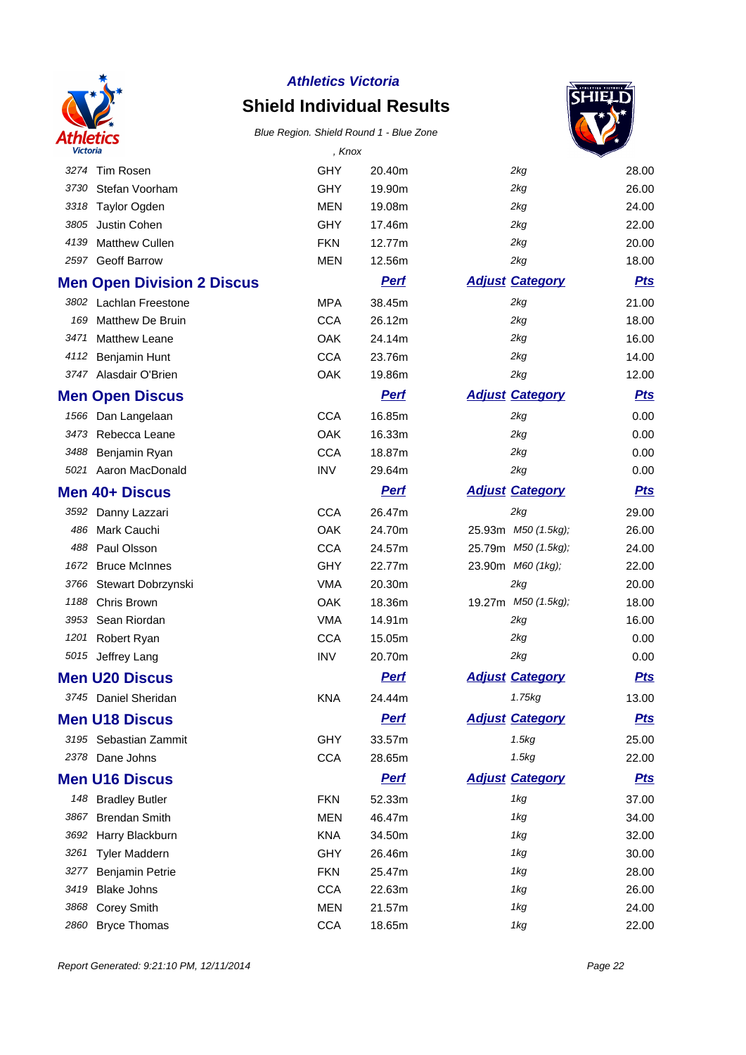

## **Shield Individual Results**



| Victoria |                                   | , Knox     |             |                        |            |
|----------|-----------------------------------|------------|-------------|------------------------|------------|
| 3274     | Tim Rosen                         | GHY        | 20.40m      | 2kg                    | 28.00      |
| 3730     | Stefan Voorham                    | GHY        | 19.90m      | 2kq                    | 26.00      |
| 3318     | Taylor Ogden                      | <b>MEN</b> | 19.08m      | 2kg                    | 24.00      |
| 3805     | Justin Cohen                      | GHY        | 17.46m      | 2kg                    | 22.00      |
| 4139     | Matthew Cullen                    | <b>FKN</b> | 12.77m      | 2kg                    | 20.00      |
| 2597     | <b>Geoff Barrow</b>               | <b>MEN</b> | 12.56m      | 2kg                    | 18.00      |
|          | <b>Men Open Division 2 Discus</b> |            | <b>Perf</b> | <b>Adjust Category</b> | <b>Pts</b> |
|          | 3802 Lachlan Freestone            | <b>MPA</b> | 38.45m      | 2kg                    | 21.00      |
| 169      | Matthew De Bruin                  | <b>CCA</b> | 26.12m      | 2kg                    | 18.00      |
| 3471     | <b>Matthew Leane</b>              | OAK        | 24.14m      | 2kg                    | 16.00      |
| 4112     | Benjamin Hunt                     | <b>CCA</b> | 23.76m      | 2kg                    | 14.00      |
|          | 3747 Alasdair O'Brien             | OAK        | 19.86m      | 2kg                    | 12.00      |
|          | <b>Men Open Discus</b>            |            | <b>Perf</b> | <b>Adjust Category</b> | <b>Pts</b> |
|          | 1566 Dan Langelaan                | <b>CCA</b> | 16.85m      | 2kg                    | 0.00       |
| 3473     | Rebecca Leane                     | OAK        | 16.33m      | 2kg                    | 0.00       |
| 3488     | Benjamin Ryan                     | <b>CCA</b> | 18.87m      | 2kg                    | 0.00       |
|          | 5021 Aaron MacDonald              | <b>INV</b> | 29.64m      | 2kg                    | 0.00       |
|          | Men 40+ Discus                    |            | <b>Perf</b> | <b>Adjust Category</b> | <b>Pts</b> |
| 3592     | Danny Lazzari                     | <b>CCA</b> | 26.47m      | 2kq                    | 29.00      |
| 486      | Mark Cauchi                       | OAK        | 24.70m      | 25.93m M50 (1.5kg);    | 26.00      |
| 488      | Paul Olsson                       | <b>CCA</b> | 24.57m      | 25.79m M50 (1.5kg);    | 24.00      |
| 1672     | <b>Bruce McInnes</b>              | GHY        | 22.77m      | 23.90m M60 (1kg);      | 22.00      |
| 3766     | Stewart Dobrzynski                | <b>VMA</b> | 20.30m      | 2kg                    | 20.00      |
| 1188     | Chris Brown                       | <b>OAK</b> | 18.36m      | 19.27m M50 (1.5kg);    | 18.00      |
| 3953     | Sean Riordan                      | <b>VMA</b> | 14.91m      | 2kg                    | 16.00      |
| 1201     | Robert Ryan                       | <b>CCA</b> | 15.05m      | 2kg                    | 0.00       |
|          | 5015 Jeffrey Lang                 | <b>INV</b> | 20.70m      | 2kg                    | 0.00       |
|          | <b>Men U20 Discus</b>             |            | <b>Perf</b> | <b>Adjust Category</b> | <b>Pts</b> |
|          | 3745 Daniel Sheridan              | <b>KNA</b> | 24.44m      | 1.75kg                 | 13.00      |
|          | <b>Men U18 Discus</b>             |            | <b>Pert</b> | <b>Adjust Category</b> | <u>Pts</u> |
|          | 3195 Sebastian Zammit             | <b>GHY</b> | 33.57m      | 1.5kg                  | 25.00      |
|          | 2378 Dane Johns                   | <b>CCA</b> | 28.65m      | 1.5kg                  | 22.00      |
|          | <b>Men U16 Discus</b>             |            | <b>Perf</b> | <b>Adjust Category</b> | <b>Pts</b> |
|          | 148 Bradley Butler                | <b>FKN</b> | 52.33m      | 1kg                    | 37.00      |
| 3867     | <b>Brendan Smith</b>              | <b>MEN</b> | 46.47m      | 1kg                    | 34.00      |
| 3692     | Harry Blackburn                   | <b>KNA</b> | 34.50m      | 1kg                    | 32.00      |
| 3261     | <b>Tyler Maddern</b>              | <b>GHY</b> | 26.46m      | 1kg                    | 30.00      |
| 3277     | Benjamin Petrie                   | <b>FKN</b> | 25.47m      | 1kg                    | 28.00      |
| 3419     | <b>Blake Johns</b>                | <b>CCA</b> | 22.63m      | 1kg                    | 26.00      |
| 3868     | <b>Corey Smith</b>                | <b>MEN</b> | 21.57m      | 1kg                    | 24.00      |
| 2860     | <b>Bryce Thomas</b>               | <b>CCA</b> | 18.65m      | 1kg                    | 22.00      |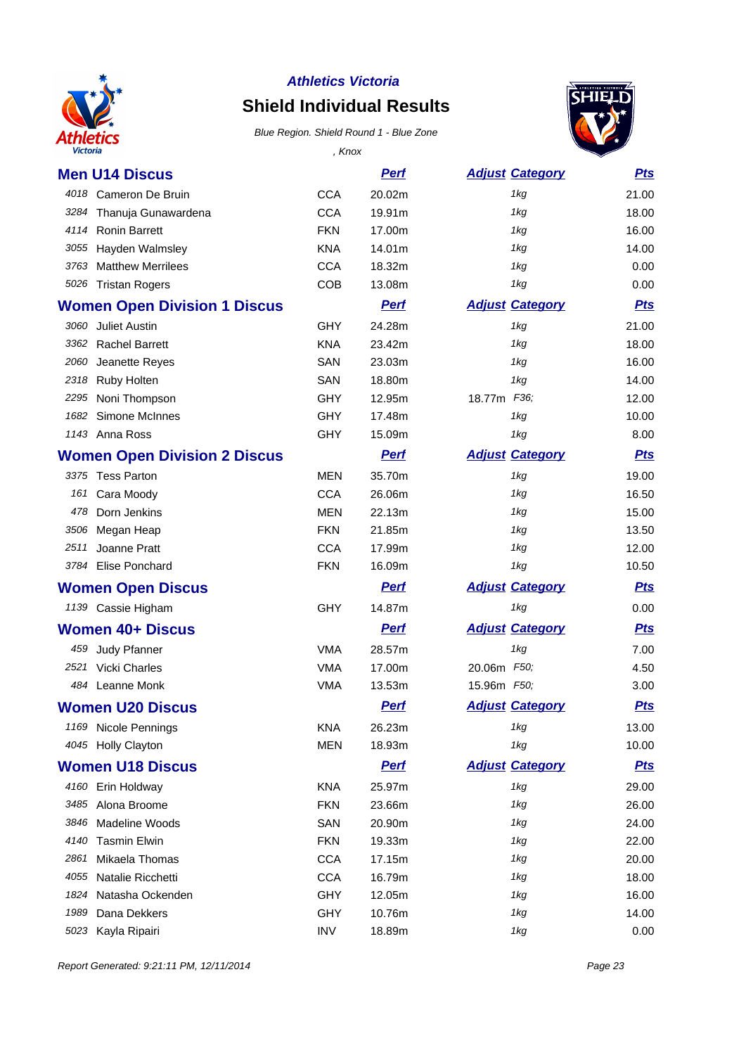

# **Shield Individual Results**



| Victoria                            | , Knox     |             |                        |            |
|-------------------------------------|------------|-------------|------------------------|------------|
| <b>Men U14 Discus</b>               |            | <u>Perf</u> | <b>Adjust Category</b> | <b>Pts</b> |
| 4018 Cameron De Bruin               | <b>CCA</b> | 20.02m      | 1kg                    | 21.00      |
| 3284 Thanuja Gunawardena            | <b>CCA</b> | 19.91m      | 1kg                    | 18.00      |
| 4114 Ronin Barrett                  | <b>FKN</b> | 17.00m      | 1kg                    | 16.00      |
| Hayden Walmsley<br>3055             | <b>KNA</b> | 14.01m      | 1kg                    | 14.00      |
| <b>Matthew Merrilees</b><br>3763    | <b>CCA</b> | 18.32m      | 1kg                    | 0.00       |
| 5026 Tristan Rogers                 | <b>COB</b> | 13.08m      | 1kg                    | 0.00       |
| <b>Women Open Division 1 Discus</b> |            | <b>Perf</b> | <b>Adjust Category</b> | <b>Pts</b> |
| 3060 Juliet Austin                  | <b>GHY</b> | 24.28m      | 1kg                    | 21.00      |
| 3362 Rachel Barrett                 | <b>KNA</b> | 23.42m      | 1kg                    | 18.00      |
| Jeanette Reyes<br>2060              | <b>SAN</b> | 23.03m      | 1kg                    | 16.00      |
| 2318 Ruby Holten                    | SAN        | 18.80m      | 1kg                    | 14.00      |
| Noni Thompson<br>2295               | <b>GHY</b> | 12.95m      | 18.77m F36;            | 12.00      |
| 1682<br>Simone McInnes              | <b>GHY</b> | 17.48m      | 1kg                    | 10.00      |
| 1143 Anna Ross                      | <b>GHY</b> | 15.09m      | 1kg                    | 8.00       |
| <b>Women Open Division 2 Discus</b> |            | <b>Perf</b> | <b>Adjust Category</b> | <b>Pts</b> |
| 3375 Tess Parton                    | <b>MEN</b> | 35.70m      | 1kg                    | 19.00      |
| 161<br>Cara Moody                   | <b>CCA</b> | 26.06m      | 1kg                    | 16.50      |
| Dorn Jenkins<br>478                 | <b>MEN</b> | 22.13m      | 1kg                    | 15.00      |
| 3506 Megan Heap                     | <b>FKN</b> | 21.85m      | 1kg                    | 13.50      |
| Joanne Pratt<br>2511                | <b>CCA</b> | 17.99m      | 1kg                    | 12.00      |
| 3784 Elise Ponchard                 | <b>FKN</b> | 16.09m      | 1kg                    | 10.50      |
| <b>Women Open Discus</b>            |            | <b>Perf</b> | <b>Adjust Category</b> | <b>Pts</b> |
| 1139 Cassie Higham                  | <b>GHY</b> | 14.87m      | 1kg                    | 0.00       |
| <b>Women 40+ Discus</b>             |            | <b>Perf</b> | <b>Adjust Category</b> | <b>Pts</b> |
| 459 Judy Pfanner                    | <b>VMA</b> | 28.57m      | 1kg                    | 7.00       |
| Vicki Charles<br>2521               | <b>VMA</b> | 17.00m      | 20.06m F50;            | 4.50       |
| 484 Leanne Monk                     | <b>VMA</b> | 13.53m      | 15.96m F50;            | 3.00       |
| Women U20 Discus                    |            | <b>Perf</b> | <b>Adjust Category</b> | <b>Pts</b> |
| 1169 Nicole Pennings                | KNA        | 26.23m      | 1kg                    | 13.00      |
| 4045 Holly Clayton                  | <b>MEN</b> | 18.93m      | 1kg                    | 10.00      |
| <b>Women U18 Discus</b>             |            | <b>Pert</b> | <b>Adjust Category</b> | <u>Pts</u> |
| 4160 Erin Holdway                   | <b>KNA</b> | 25.97m      | 1kg                    | 29.00      |
| Alona Broome<br>3485                | <b>FKN</b> | 23.66m      | 1kg                    | 26.00      |
| Madeline Woods<br>3846              | SAN        | 20.90m      | 1kg                    | 24.00      |
| <b>Tasmin Elwin</b><br>4140         | <b>FKN</b> | 19.33m      | 1kg                    | 22.00      |
| Mikaela Thomas<br>2861              | <b>CCA</b> | 17.15m      | 1kg                    | 20.00      |
| Natalie Ricchetti<br>4055           | <b>CCA</b> | 16.79m      | 1kg                    | 18.00      |
| Natasha Ockenden<br>1824            | GHY        | 12.05m      | 1kg                    | 16.00      |
| Dana Dekkers<br>1989                | <b>GHY</b> | 10.76m      | 1kg                    | 14.00      |
| 5023 Kayla Ripairi                  | <b>INV</b> | 18.89m      | 1kg                    | 0.00       |